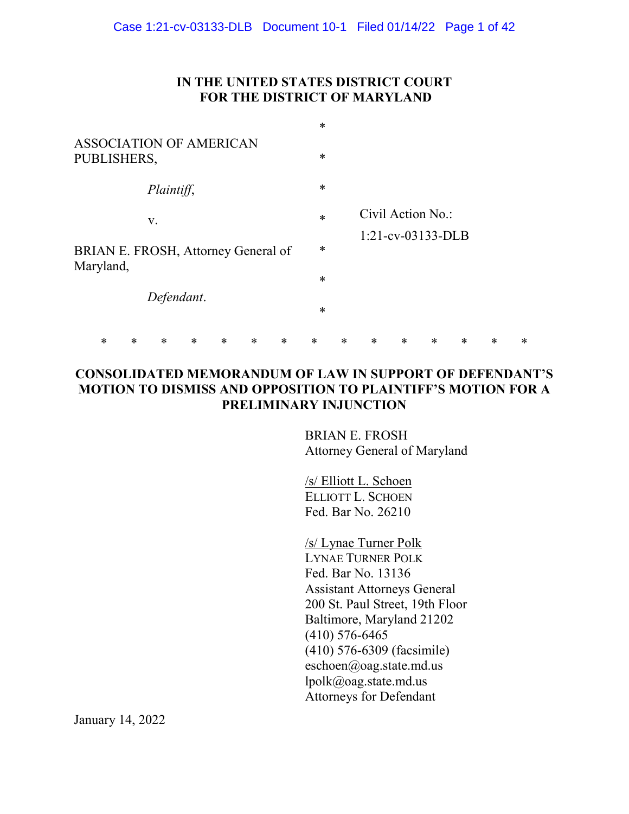## **IN THE UNITED STATES DISTRICT COURT FOR THE DISTRICT OF MARYLAND**

|                                        |   |   |                                     |   |   |        |        | $\ast$ |        |                      |        |        |   |        |        |
|----------------------------------------|---|---|-------------------------------------|---|---|--------|--------|--------|--------|----------------------|--------|--------|---|--------|--------|
| ASSOCIATION OF AMERICAN<br>PUBLISHERS, |   |   |                                     |   |   | $\ast$ |        |        |        |                      |        |        |   |        |        |
|                                        |   |   | Plaintiff,                          |   |   |        |        | $\ast$ |        |                      |        |        |   |        |        |
|                                        |   |   | V.                                  |   |   |        |        | $\ast$ |        | Civil Action No.:    |        |        |   |        |        |
|                                        |   |   | BRIAN E. FROSH, Attorney General of |   |   |        |        | $\ast$ |        | $1:21$ -cv-03133-DLB |        |        |   |        |        |
| Maryland,                              |   |   |                                     |   |   |        |        | $\ast$ |        |                      |        |        |   |        |        |
|                                        |   |   | Defendant.                          |   |   |        | $\ast$ |        |        |                      |        |        |   |        |        |
|                                        | * | ∗ | *                                   | * | ∗ | ∗      | $\ast$ | $\ast$ | $\ast$ | $\ast$               | $\ast$ | $\ast$ | ∗ | $\ast$ | $\ast$ |

## **CONSOLIDATED MEMORANDUM OF LAW IN SUPPORT OF DEFENDANT'S MOTION TO DISMISS AND OPPOSITION TO PLAINTIFF'S MOTION FOR A PRELIMINARY INJUNCTION**

BRIAN E. FROSH Attorney General of Maryland

/s/ Elliott L. Schoen ELLIOTT L. SCHOEN Fed. Bar No. 26210

/s/ Lynae Turner Polk LYNAE TURNER POLK Fed. Bar No. 13136 Assistant Attorneys General 200 St. Paul Street, 19th Floor Baltimore, Maryland 21202 (410) 576-6465 (410) 576-6309 (facsimile) eschoen@oag.state.md.us lpolk@oag.state.md.us Attorneys for Defendant

January 14, 2022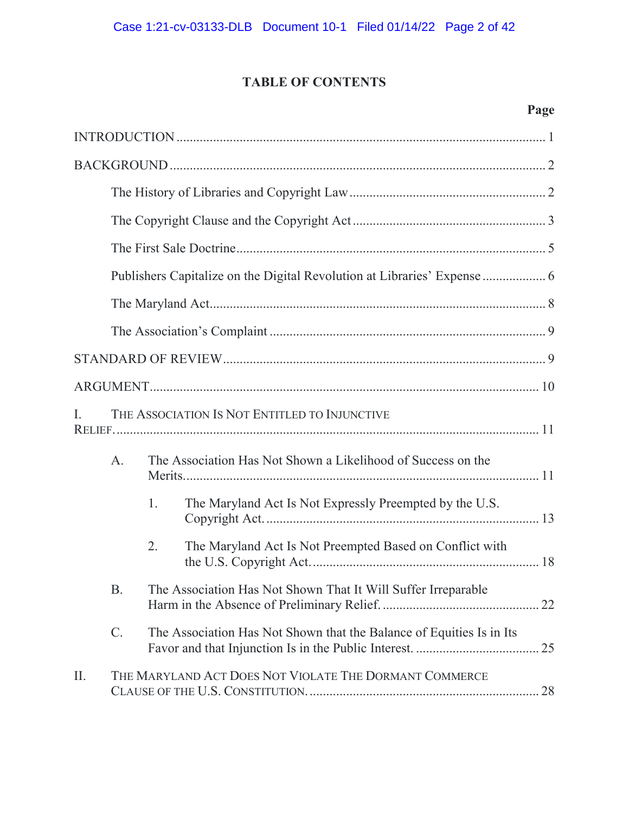# **TABLE OF CONTENTS**

# **Page**

| I. | THE ASSOCIATION IS NOT ENTITLED TO INJUNCTIVE |                                                                      |                                                              |  |  |  |  |  |  |
|----|-----------------------------------------------|----------------------------------------------------------------------|--------------------------------------------------------------|--|--|--|--|--|--|
|    | A.                                            |                                                                      | The Association Has Not Shown a Likelihood of Success on the |  |  |  |  |  |  |
|    |                                               | 1.                                                                   | The Maryland Act Is Not Expressly Preempted by the U.S.      |  |  |  |  |  |  |
|    |                                               | 2.                                                                   | The Maryland Act Is Not Preempted Based on Conflict with     |  |  |  |  |  |  |
|    | <b>B.</b>                                     | The Association Has Not Shown That It Will Suffer Irreparable        |                                                              |  |  |  |  |  |  |
|    | $\mathcal{C}$ .                               | The Association Has Not Shown that the Balance of Equities Is in Its |                                                              |  |  |  |  |  |  |
| Π. |                                               |                                                                      | THE MARYLAND ACT DOES NOT VIOLATE THE DORMANT COMMERCE       |  |  |  |  |  |  |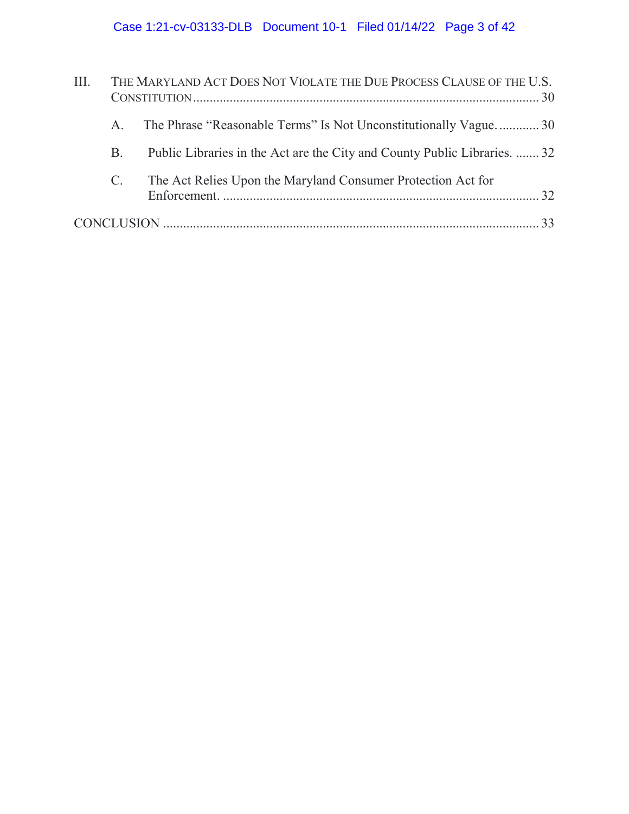| Ш. | THE MARYLAND ACT DOES NOT VIOLATE THE DUE PROCESS CLAUSE OF THE U.S. |                                                                           |  |  |  |  |  |  |
|----|----------------------------------------------------------------------|---------------------------------------------------------------------------|--|--|--|--|--|--|
|    | $\mathsf{A}$ .                                                       | The Phrase "Reasonable Terms" Is Not Unconstitutionally Vague 30          |  |  |  |  |  |  |
|    | B.                                                                   | Public Libraries in the Act are the City and County Public Libraries.  32 |  |  |  |  |  |  |
|    | $\mathbf{C}$ .                                                       | The Act Relies Upon the Maryland Consumer Protection Act for              |  |  |  |  |  |  |
|    |                                                                      |                                                                           |  |  |  |  |  |  |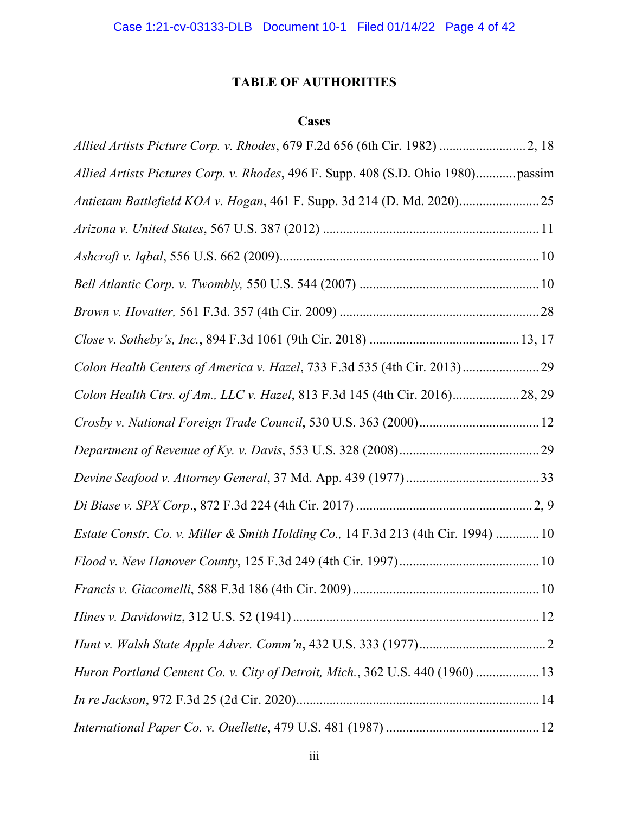# **TABLE OF AUTHORITIES**

## **Cases**

| Allied Artists Pictures Corp. v. Rhodes, 496 F. Supp. 408 (S.D. Ohio 1980) passim |  |
|-----------------------------------------------------------------------------------|--|
| Antietam Battlefield KOA v. Hogan, 461 F. Supp. 3d 214 (D. Md. 2020)              |  |
|                                                                                   |  |
|                                                                                   |  |
|                                                                                   |  |
|                                                                                   |  |
|                                                                                   |  |
|                                                                                   |  |
| Colon Health Ctrs. of Am., LLC v. Hazel, 813 F.3d 145 (4th Cir. 2016) 28, 29      |  |
|                                                                                   |  |
|                                                                                   |  |
|                                                                                   |  |
|                                                                                   |  |
| Estate Constr. Co. v. Miller & Smith Holding Co., 14 F.3d 213 (4th Cir. 1994)  10 |  |
|                                                                                   |  |
|                                                                                   |  |
|                                                                                   |  |
|                                                                                   |  |
| Huron Portland Cement Co. v. City of Detroit, Mich., 362 U.S. 440 (1960)  13      |  |
|                                                                                   |  |
|                                                                                   |  |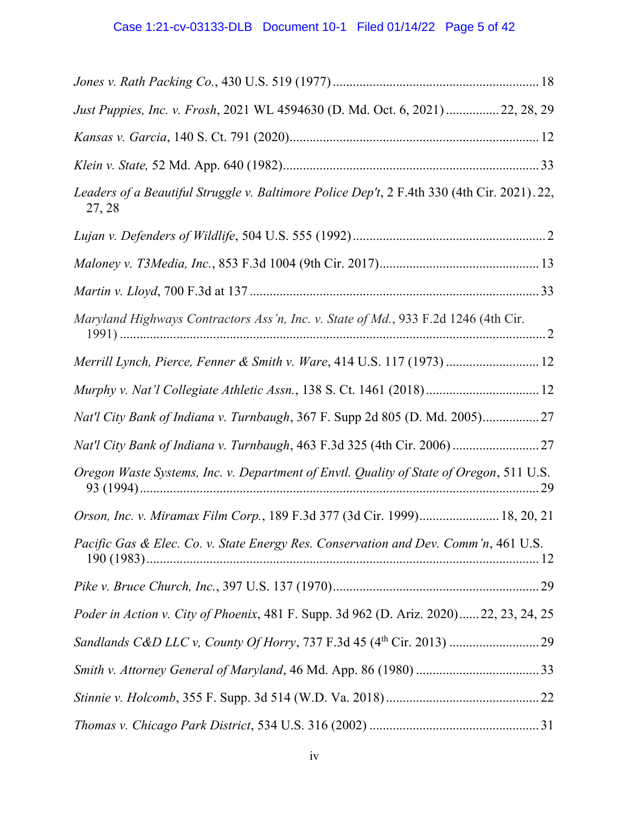| Just Puppies, Inc. v. Frosh, 2021 WL 4594630 (D. Md. Oct. 6, 2021) 22, 28, 29                         |
|-------------------------------------------------------------------------------------------------------|
|                                                                                                       |
|                                                                                                       |
| Leaders of a Beautiful Struggle v. Baltimore Police Dep't, 2 F.4th 330 (4th Cir. 2021). 22,<br>27, 28 |
|                                                                                                       |
|                                                                                                       |
|                                                                                                       |
| Maryland Highways Contractors Ass'n, Inc. v. State of Md., 933 F.2d 1246 (4th Cir.                    |
| Merrill Lynch, Pierce, Fenner & Smith v. Ware, 414 U.S. 117 (1973)  12                                |
| Murphy v. Nat'l Collegiate Athletic Assn., 138 S. Ct. 1461 (2018) 12                                  |
| Nat'l City Bank of Indiana v. Turnbaugh, 367 F. Supp 2d 805 (D. Md. 2005) 27                          |
| Nat'l City Bank of Indiana v. Turnbaugh, 463 F.3d 325 (4th Cir. 2006) 27                              |
| Oregon Waste Systems, Inc. v. Department of Envtl. Quality of State of Oregon, 511 U.S.               |
| Orson, Inc. v. Miramax Film Corp., 189 F.3d 377 (3d Cir. 1999) 18, 20, 21                             |
| Pacific Gas & Elec. Co. v. State Energy Res. Conservation and Dev. Comm'n, 461 U.S.                   |
|                                                                                                       |
| Poder in Action v. City of Phoenix, 481 F. Supp. 3d 962 (D. Ariz. 2020)22, 23, 24, 25                 |
|                                                                                                       |
|                                                                                                       |
|                                                                                                       |
|                                                                                                       |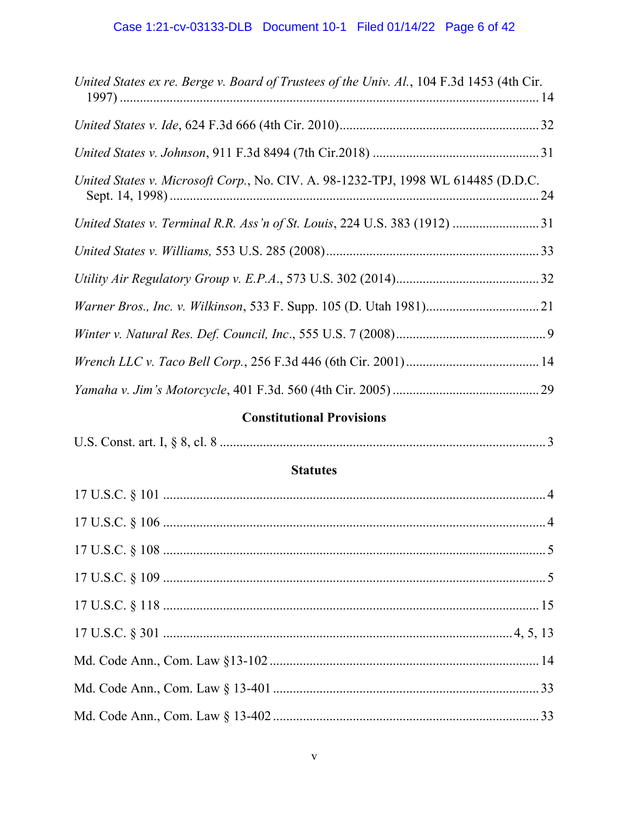| United States ex re. Berge v. Board of Trustees of the Univ. Al., 104 F.3d 1453 (4th Cir. |
|-------------------------------------------------------------------------------------------|
|                                                                                           |
|                                                                                           |
| United States v. Microsoft Corp., No. CIV. A. 98-1232-TPJ, 1998 WL 614485 (D.D.C.         |
| United States v. Terminal R.R. Ass'n of St. Louis, 224 U.S. 383 (1912)  31                |
|                                                                                           |
|                                                                                           |
|                                                                                           |
|                                                                                           |
|                                                                                           |
|                                                                                           |
|                                                                                           |

# **Constitutional Provisions**

|--|--|

## **Statutes**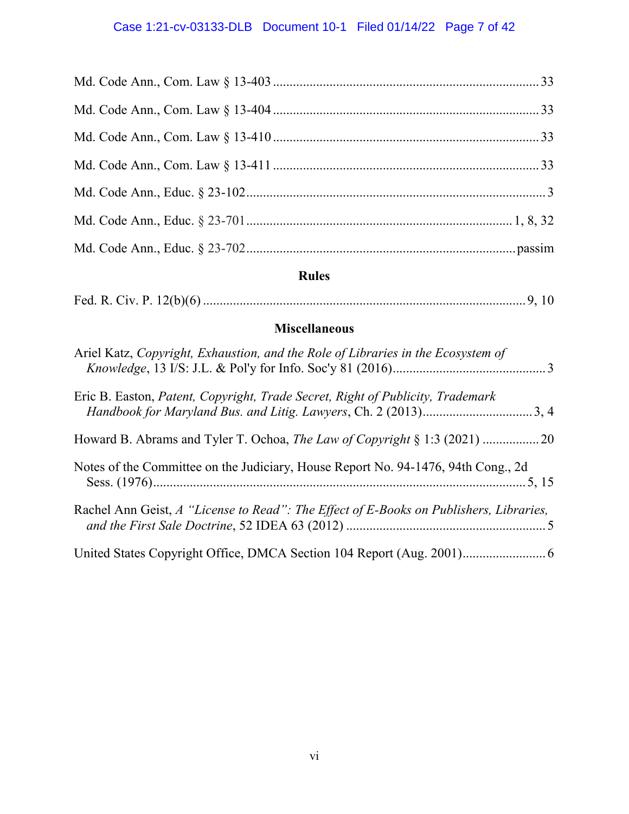# Case 1:21-cv-03133-DLB Document 10-1 Filed 01/14/22 Page 7 of 42

# **Rules**

|--|--|

## **Miscellaneous**

| Ariel Katz, Copyright, Exhaustion, and the Role of Libraries in the Ecosystem of       |  |
|----------------------------------------------------------------------------------------|--|
| Eric B. Easton, Patent, Copyright, Trade Secret, Right of Publicity, Trademark         |  |
|                                                                                        |  |
| Notes of the Committee on the Judiciary, House Report No. 94-1476, 94th Cong., 2d      |  |
| Rachel Ann Geist, A "License to Read": The Effect of E-Books on Publishers, Libraries, |  |
|                                                                                        |  |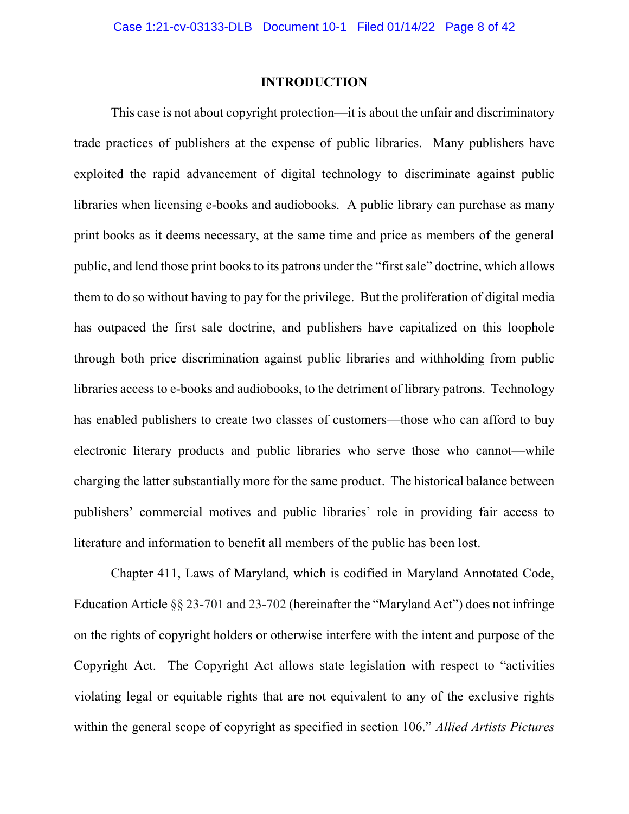#### **INTRODUCTION**

This case is not about copyright protection—it is about the unfair and discriminatory trade practices of publishers at the expense of public libraries. Many publishers have exploited the rapid advancement of digital technology to discriminate against public libraries when licensing e-books and audiobooks. A public library can purchase as many print books as it deems necessary, at the same time and price as members of the general public, and lend those print books to its patrons under the "first sale" doctrine, which allows them to do so without having to pay for the privilege. But the proliferation of digital media has outpaced the first sale doctrine, and publishers have capitalized on this loophole through both price discrimination against public libraries and withholding from public libraries access to e-books and audiobooks, to the detriment of library patrons. Technology has enabled publishers to create two classes of customers—those who can afford to buy electronic literary products and public libraries who serve those who cannot—while charging the latter substantially more for the same product. The historical balance between publishers' commercial motives and public libraries' role in providing fair access to literature and information to benefit all members of the public has been lost.

Chapter 411, Laws of Maryland, which is codified in Maryland Annotated Code, Education Article §§ 23-701 and 23-702 (hereinafter the "Maryland Act") does not infringe on the rights of copyright holders or otherwise interfere with the intent and purpose of the Copyright Act. The Copyright Act allows state legislation with respect to "activities violating legal or equitable rights that are not equivalent to any of the exclusive rights within the general scope of copyright as specified in section 106." *Allied Artists Pictures*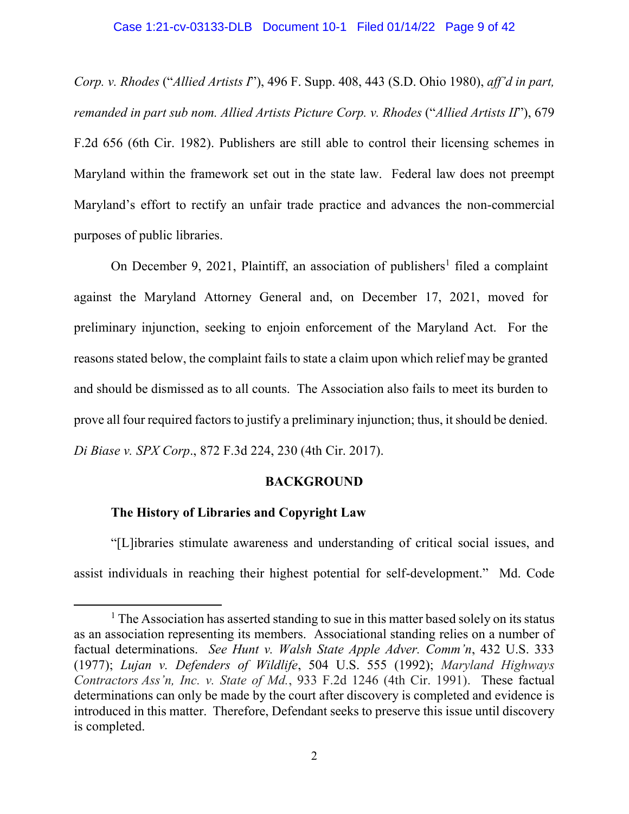#### Case 1:21-cv-03133-DLB Document 10-1 Filed 01/14/22 Page 9 of 42

*Corp. v. Rhodes* ("*Allied Artists I*"), 496 F. Supp. 408, 443 (S.D. Ohio 1980), *aff'd in part, remanded in part sub nom. Allied Artists Picture Corp. v. Rhodes* ("*Allied Artists II*"), 679 F.2d 656 (6th Cir. 1982). Publishers are still able to control their licensing schemes in Maryland within the framework set out in the state law. Federal law does not preempt Maryland's effort to rectify an unfair trade practice and advances the non-commercial purposes of public libraries.

On December 9, 2021, Plaintiff, an association of publishers<sup>1</sup> filed a complaint against the Maryland Attorney General and, on December 17, 2021, moved for preliminary injunction, seeking to enjoin enforcement of the Maryland Act. For the reasons stated below, the complaint fails to state a claim upon which relief may be granted and should be dismissed as to all counts. The Association also fails to meet its burden to prove all four required factors to justify a preliminary injunction; thus, it should be denied. *Di Biase v. SPX Corp*., 872 F.3d 224, 230 (4th Cir. 2017).

#### **BACKGROUND**

#### **The History of Libraries and Copyright Law**

 $\overline{a}$ 

"[L]ibraries stimulate awareness and understanding of critical social issues, and assist individuals in reaching their highest potential for self-development." Md. Code

 $<sup>1</sup>$  The Association has asserted standing to sue in this matter based solely on its status</sup> as an association representing its members. Associational standing relies on a number of factual determinations. *See Hunt v. Walsh State Apple Adver. Comm'n*, 432 U.S. 333 (1977); *Lujan v. Defenders of Wildlife*, 504 U.S. 555 (1992); *Maryland Highways Contractors Ass'n, Inc. v. State of Md.*, 933 F.2d 1246 (4th Cir. 1991). These factual determinations can only be made by the court after discovery is completed and evidence is introduced in this matter. Therefore, Defendant seeks to preserve this issue until discovery is completed.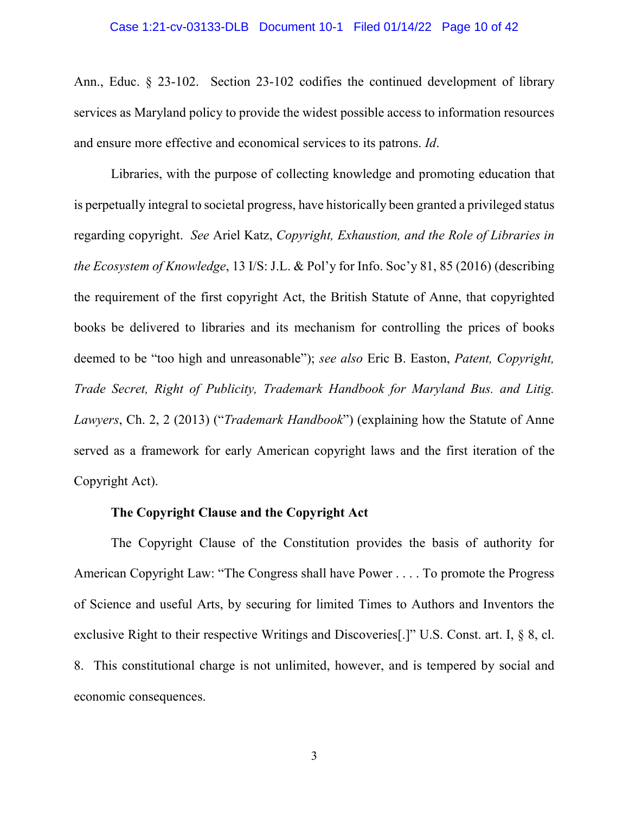#### Case 1:21-cv-03133-DLB Document 10-1 Filed 01/14/22 Page 10 of 42

Ann., Educ. § 23-102. Section 23-102 codifies the continued development of library services as Maryland policy to provide the widest possible access to information resources and ensure more effective and economical services to its patrons. *Id*.

Libraries, with the purpose of collecting knowledge and promoting education that is perpetually integral to societal progress, have historically been granted a privileged status regarding copyright. *See* Ariel Katz, *Copyright, Exhaustion, and the Role of Libraries in the Ecosystem of Knowledge*, 13 I/S: J.L. & Pol'y for Info. Soc'y 81, 85 (2016) (describing the requirement of the first copyright Act, the British Statute of Anne, that copyrighted books be delivered to libraries and its mechanism for controlling the prices of books deemed to be "too high and unreasonable"); *see also* Eric B. Easton, *Patent, Copyright, Trade Secret, Right of Publicity, Trademark Handbook for Maryland Bus. and Litig. Lawyers*, Ch. 2, 2 (2013) ("*Trademark Handbook*") (explaining how the Statute of Anne served as a framework for early American copyright laws and the first iteration of the Copyright Act).

#### **The Copyright Clause and the Copyright Act**

The Copyright Clause of the Constitution provides the basis of authority for American Copyright Law: "The Congress shall have Power . . . . To promote the Progress of Science and useful Arts, by securing for limited Times to Authors and Inventors the exclusive Right to their respective Writings and Discoveries[.]" U.S. Const. art. I, § 8, cl. 8. This constitutional charge is not unlimited, however, and is tempered by social and economic consequences.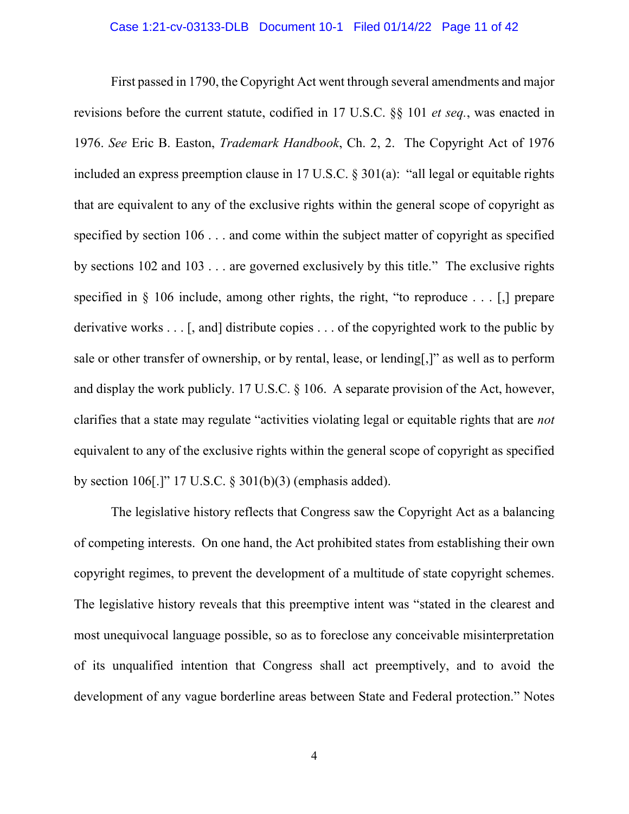First passed in 1790, the Copyright Act went through several amendments and major revisions before the current statute, codified in 17 U.S.C. §§ 101 *et seq.*, was enacted in 1976. *See* Eric B. Easton, *Trademark Handbook*, Ch. 2, 2. The Copyright Act of 1976 included an express preemption clause in 17 U.S.C. § 301(a): "all legal or equitable rights that are equivalent to any of the exclusive rights within the general scope of copyright as specified by section 106 . . . and come within the subject matter of copyright as specified by sections 102 and 103 . . . are governed exclusively by this title." The exclusive rights specified in  $\S$  106 include, among other rights, the right, "to reproduce . . . [.] prepare derivative works . . . [, and] distribute copies . . . of the copyrighted work to the public by sale or other transfer of ownership, or by rental, lease, or lending[,]" as well as to perform and display the work publicly. 17 U.S.C. § 106. A separate provision of the Act, however, clarifies that a state may regulate "activities violating legal or equitable rights that are *not* equivalent to any of the exclusive rights within the general scope of copyright as specified by section 106[.]" 17 U.S.C. § 301(b)(3) (emphasis added).

The legislative history reflects that Congress saw the Copyright Act as a balancing of competing interests. On one hand, the Act prohibited states from establishing their own copyright regimes, to prevent the development of a multitude of state copyright schemes. The legislative history reveals that this preemptive intent was "stated in the clearest and most unequivocal language possible, so as to foreclose any conceivable misinterpretation of its unqualified intention that Congress shall act preemptively, and to avoid the development of any vague borderline areas between State and Federal protection." Notes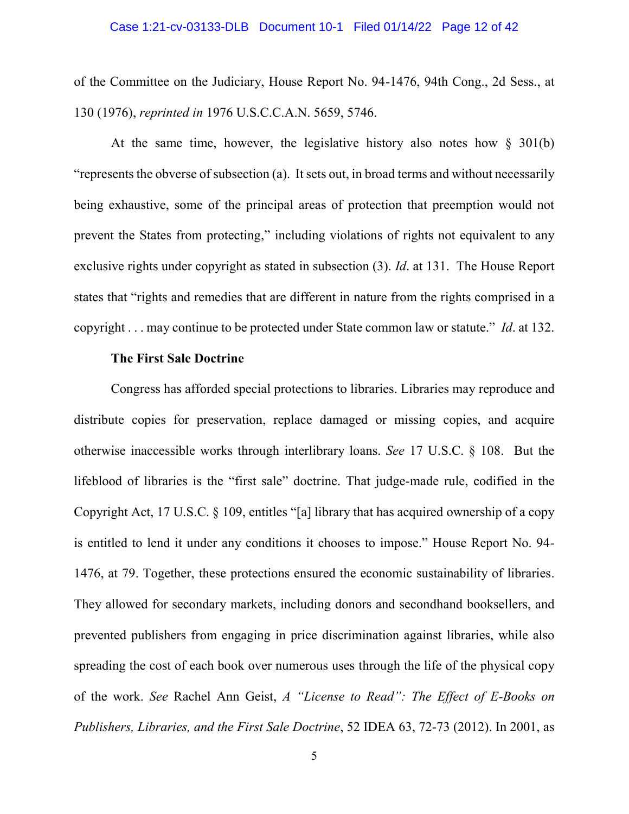#### Case 1:21-cv-03133-DLB Document 10-1 Filed 01/14/22 Page 12 of 42

of the Committee on the Judiciary, House Report No. 94-1476, 94th Cong., 2d Sess., at 130 (1976), *reprinted in* 1976 U.S.C.C.A.N. 5659, 5746.

At the same time, however, the legislative history also notes how § 301(b) "represents the obverse of subsection (a). It sets out, in broad terms and without necessarily being exhaustive, some of the principal areas of protection that preemption would not prevent the States from protecting," including violations of rights not equivalent to any exclusive rights under copyright as stated in subsection (3). *Id*. at 131. The House Report states that "rights and remedies that are different in nature from the rights comprised in a copyright . . . may continue to be protected under State common law or statute." *Id*. at 132.

#### **The First Sale Doctrine**

Congress has afforded special protections to libraries. Libraries may reproduce and distribute copies for preservation, replace damaged or missing copies, and acquire otherwise inaccessible works through interlibrary loans. *See* 17 U.S.C. § 108. But the lifeblood of libraries is the "first sale" doctrine. That judge-made rule, codified in the Copyright Act, 17 U.S.C. § 109, entitles "[a] library that has acquired ownership of a copy is entitled to lend it under any conditions it chooses to impose." House Report No. 94- 1476, at 79. Together, these protections ensured the economic sustainability of libraries. They allowed for secondary markets, including donors and secondhand booksellers, and prevented publishers from engaging in price discrimination against libraries, while also spreading the cost of each book over numerous uses through the life of the physical copy of the work. *See* Rachel Ann Geist, *A "License to Read": The Effect of E-Books on Publishers, Libraries, and the First Sale Doctrine*, 52 IDEA 63, 72-73 (2012). In 2001, as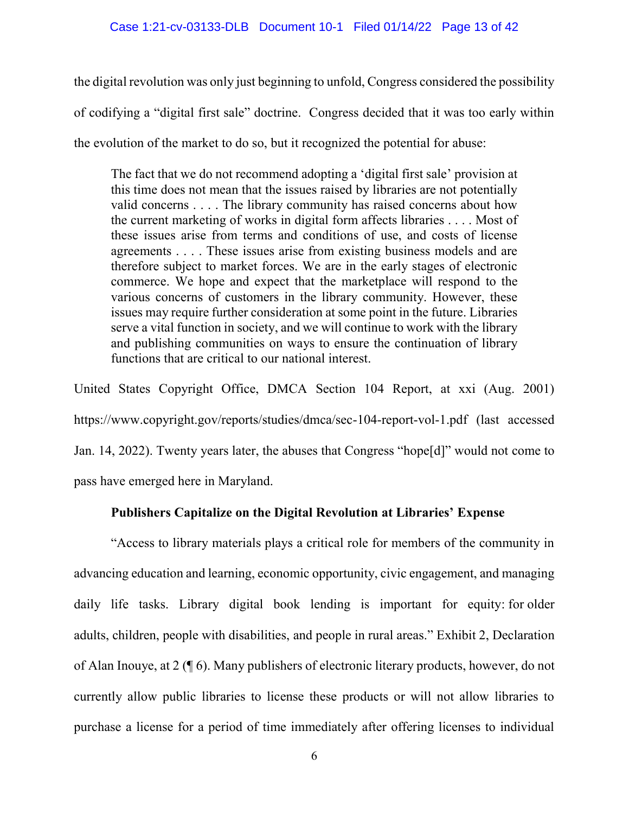the digital revolution was only just beginning to unfold, Congress considered the possibility of codifying a "digital first sale" doctrine. Congress decided that it was too early within the evolution of the market to do so, but it recognized the potential for abuse:

The fact that we do not recommend adopting a 'digital first sale' provision at this time does not mean that the issues raised by libraries are not potentially valid concerns . . . . The library community has raised concerns about how the current marketing of works in digital form affects libraries . . . . Most of these issues arise from terms and conditions of use, and costs of license agreements . . . . These issues arise from existing business models and are therefore subject to market forces. We are in the early stages of electronic commerce. We hope and expect that the marketplace will respond to the various concerns of customers in the library community. However, these issues may require further consideration at some point in the future. Libraries serve a vital function in society, and we will continue to work with the library and publishing communities on ways to ensure the continuation of library functions that are critical to our national interest.

United States Copyright Office, DMCA Section 104 Report, at xxi (Aug. 2001) https://www.copyright.gov/reports/studies/dmca/sec-104-report-vol-1.pdf (last accessed Jan. 14, 2022). Twenty years later, the abuses that Congress "hope[d]" would not come to pass have emerged here in Maryland.

## **Publishers Capitalize on the Digital Revolution at Libraries' Expense**

"Access to library materials plays a critical role for members of the community in advancing education and learning, economic opportunity, civic engagement, and managing daily life tasks. Library digital book lending is important for equity: for older adults, children, people with disabilities, and people in rural areas." Exhibit 2, Declaration of Alan Inouye, at 2 (¶ 6). Many publishers of electronic literary products, however, do not currently allow public libraries to license these products or will not allow libraries to purchase a license for a period of time immediately after offering licenses to individual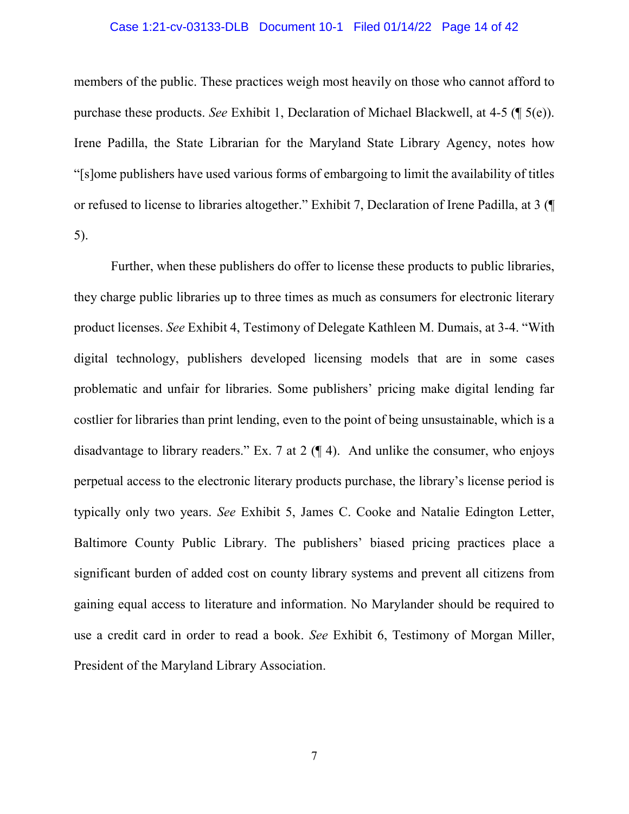#### Case 1:21-cv-03133-DLB Document 10-1 Filed 01/14/22 Page 14 of 42

members of the public. These practices weigh most heavily on those who cannot afford to purchase these products. *See* Exhibit 1, Declaration of Michael Blackwell, at 4-5 (¶ 5(e)). Irene Padilla, the State Librarian for the Maryland State Library Agency, notes how "[s]ome publishers have used various forms of embargoing to limit the availability of titles or refused to license to libraries altogether." Exhibit 7, Declaration of Irene Padilla, at 3 (¶ 5).

Further, when these publishers do offer to license these products to public libraries, they charge public libraries up to three times as much as consumers for electronic literary product licenses. *See* Exhibit 4, Testimony of Delegate Kathleen M. Dumais, at 3-4. "With digital technology, publishers developed licensing models that are in some cases problematic and unfair for libraries. Some publishers' pricing make digital lending far costlier for libraries than print lending, even to the point of being unsustainable, which is a disadvantage to library readers." Ex. 7 at 2  $(\P 4)$ . And unlike the consumer, who enjoys perpetual access to the electronic literary products purchase, the library's license period is typically only two years. *See* Exhibit 5, James C. Cooke and Natalie Edington Letter, Baltimore County Public Library. The publishers' biased pricing practices place a significant burden of added cost on county library systems and prevent all citizens from gaining equal access to literature and information. No Marylander should be required to use a credit card in order to read a book. *See* Exhibit 6, Testimony of Morgan Miller, President of the Maryland Library Association.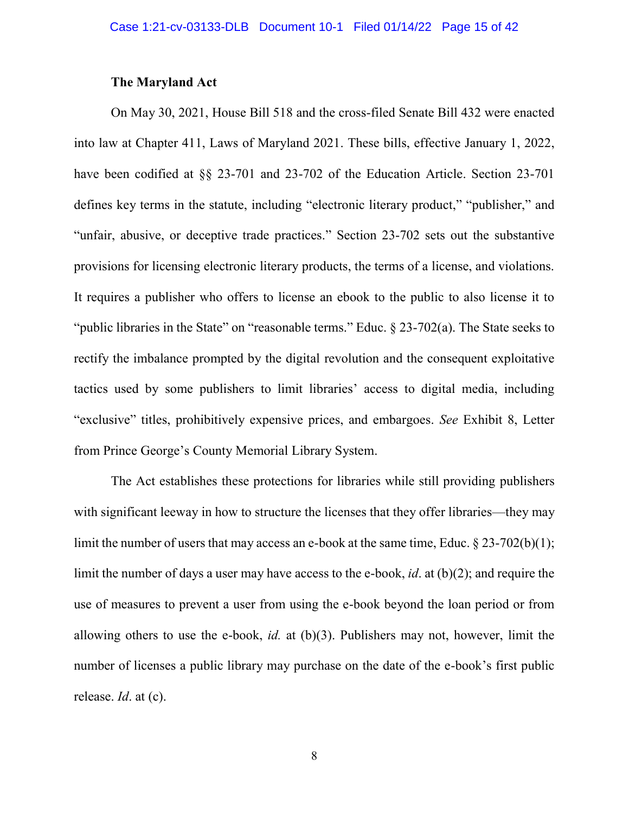#### **The Maryland Act**

On May 30, 2021, House Bill 518 and the cross-filed Senate Bill 432 were enacted into law at Chapter 411, Laws of Maryland 2021. These bills, effective January 1, 2022, have been codified at §§ 23-701 and 23-702 of the Education Article. Section 23-701 defines key terms in the statute, including "electronic literary product," "publisher," and "unfair, abusive, or deceptive trade practices." Section 23-702 sets out the substantive provisions for licensing electronic literary products, the terms of a license, and violations. It requires a publisher who offers to license an ebook to the public to also license it to "public libraries in the State" on "reasonable terms." Educ. § 23-702(a). The State seeks to rectify the imbalance prompted by the digital revolution and the consequent exploitative tactics used by some publishers to limit libraries' access to digital media, including "exclusive" titles, prohibitively expensive prices, and embargoes. *See* Exhibit 8, Letter from Prince George's County Memorial Library System.

The Act establishes these protections for libraries while still providing publishers with significant leeway in how to structure the licenses that they offer libraries—they may limit the number of users that may access an e-book at the same time, Educ. § 23-702(b)(1); limit the number of days a user may have access to the e-book, *id*. at (b)(2); and require the use of measures to prevent a user from using the e-book beyond the loan period or from allowing others to use the e-book, *id.* at (b)(3). Publishers may not, however, limit the number of licenses a public library may purchase on the date of the e-book's first public release. *Id*. at (c).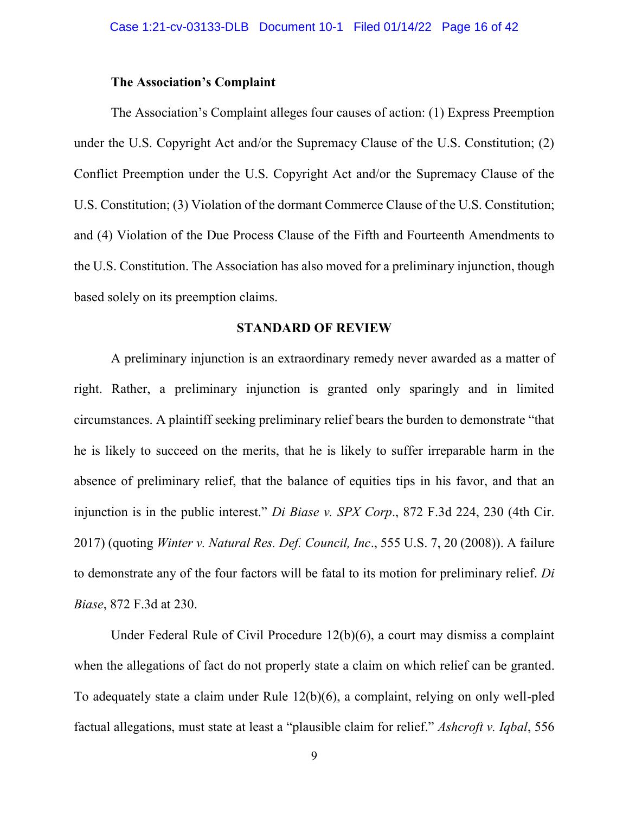### **The Association's Complaint**

The Association's Complaint alleges four causes of action: (1) Express Preemption under the U.S. Copyright Act and/or the Supremacy Clause of the U.S. Constitution; (2) Conflict Preemption under the U.S. Copyright Act and/or the Supremacy Clause of the U.S. Constitution; (3) Violation of the dormant Commerce Clause of the U.S. Constitution; and (4) Violation of the Due Process Clause of the Fifth and Fourteenth Amendments to the U.S. Constitution. The Association has also moved for a preliminary injunction, though based solely on its preemption claims.

#### **STANDARD OF REVIEW**

A preliminary injunction is an extraordinary remedy never awarded as a matter of right. Rather, a preliminary injunction is granted only sparingly and in limited circumstances. A plaintiff seeking preliminary relief bears the burden to demonstrate "that he is likely to succeed on the merits, that he is likely to suffer irreparable harm in the absence of preliminary relief, that the balance of equities tips in his favor, and that an injunction is in the public interest." *Di Biase v. SPX Corp*., 872 F.3d 224, 230 (4th Cir. 2017) (quoting *Winter v. Natural Res. Def. Council, Inc*., 555 U.S. 7, 20 (2008)). A failure to demonstrate any of the four factors will be fatal to its motion for preliminary relief. *Di Biase*, 872 F.3d at 230.

Under Federal Rule of Civil Procedure 12(b)(6), a court may dismiss a complaint when the allegations of fact do not properly state a claim on which relief can be granted. To adequately state a claim under Rule 12(b)(6), a complaint, relying on only well-pled factual allegations, must state at least a "plausible claim for relief." *Ashcroft v. Iqbal*, 556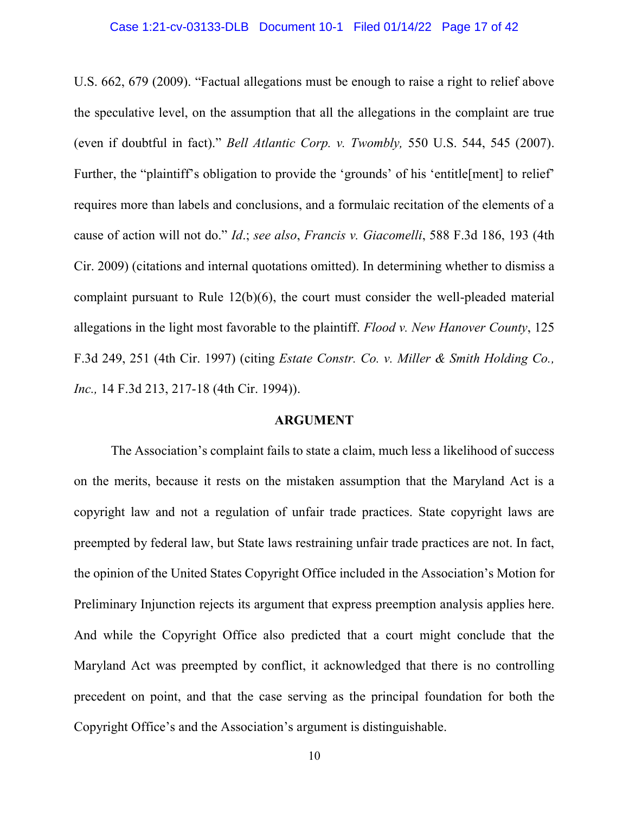#### Case 1:21-cv-03133-DLB Document 10-1 Filed 01/14/22 Page 17 of 42

U.S. 662, 679 (2009). "Factual allegations must be enough to raise a right to relief above the speculative level, on the assumption that all the allegations in the complaint are true (even if doubtful in fact)." *Bell Atlantic Corp. v. Twombly,* 550 U.S. 544, 545 (2007). Further, the "plaintiff's obligation to provide the 'grounds' of his 'entitle[ment] to relief' requires more than labels and conclusions, and a formulaic recitation of the elements of a cause of action will not do." *Id*.; *see also*, *Francis v. Giacomelli*, 588 F.3d 186, 193 (4th Cir. 2009) (citations and internal quotations omitted). In determining whether to dismiss a complaint pursuant to Rule 12(b)(6), the court must consider the well-pleaded material allegations in the light most favorable to the plaintiff. *Flood v. New Hanover County*, 125 F.3d 249, 251 (4th Cir. 1997) (citing *Estate Constr. Co. v. Miller & Smith Holding Co., Inc.,* 14 F.3d 213, 217-18 (4th Cir. 1994)).

#### **ARGUMENT**

The Association's complaint fails to state a claim, much less a likelihood of success on the merits, because it rests on the mistaken assumption that the Maryland Act is a copyright law and not a regulation of unfair trade practices. State copyright laws are preempted by federal law, but State laws restraining unfair trade practices are not. In fact, the opinion of the United States Copyright Office included in the Association's Motion for Preliminary Injunction rejects its argument that express preemption analysis applies here. And while the Copyright Office also predicted that a court might conclude that the Maryland Act was preempted by conflict, it acknowledged that there is no controlling precedent on point, and that the case serving as the principal foundation for both the Copyright Office's and the Association's argument is distinguishable.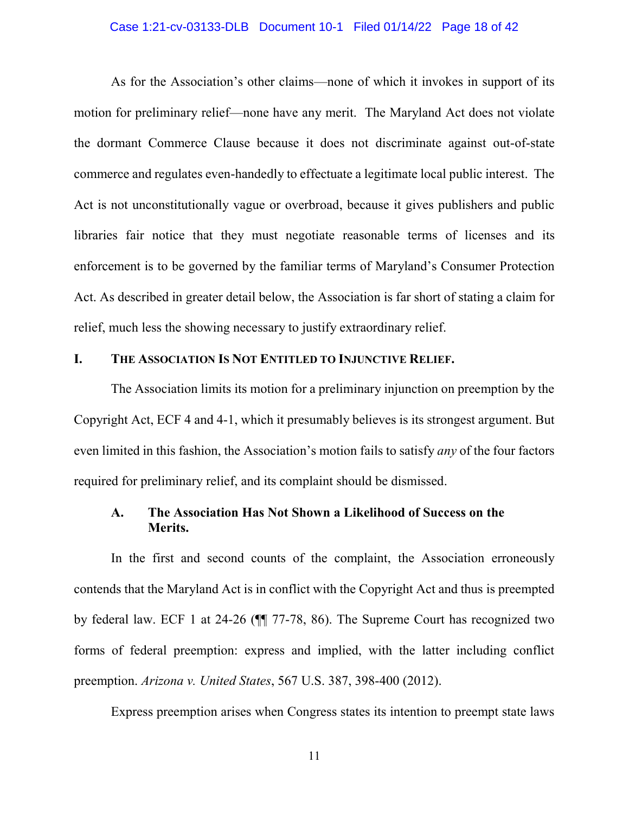#### Case 1:21-cv-03133-DLB Document 10-1 Filed 01/14/22 Page 18 of 42

As for the Association's other claims—none of which it invokes in support of its motion for preliminary relief—none have any merit. The Maryland Act does not violate the dormant Commerce Clause because it does not discriminate against out-of-state commerce and regulates even-handedly to effectuate a legitimate local public interest. The Act is not unconstitutionally vague or overbroad, because it gives publishers and public libraries fair notice that they must negotiate reasonable terms of licenses and its enforcement is to be governed by the familiar terms of Maryland's Consumer Protection Act. As described in greater detail below, the Association is far short of stating a claim for relief, much less the showing necessary to justify extraordinary relief.

## **I. THE ASSOCIATION IS NOT ENTITLED TO INJUNCTIVE RELIEF.**

The Association limits its motion for a preliminary injunction on preemption by the Copyright Act, ECF 4 and 4-1, which it presumably believes is its strongest argument. But even limited in this fashion, the Association's motion fails to satisfy *any* of the four factors required for preliminary relief, and its complaint should be dismissed.

## **A. The Association Has Not Shown a Likelihood of Success on the Merits.**

In the first and second counts of the complaint, the Association erroneously contends that the Maryland Act is in conflict with the Copyright Act and thus is preempted by federal law. ECF 1 at 24-26 (¶¶ 77-78, 86). The Supreme Court has recognized two forms of federal preemption: express and implied, with the latter including conflict preemption. *Arizona v. United States*, 567 U.S. 387, 398-400 (2012).

Express preemption arises when Congress states its intention to preempt state laws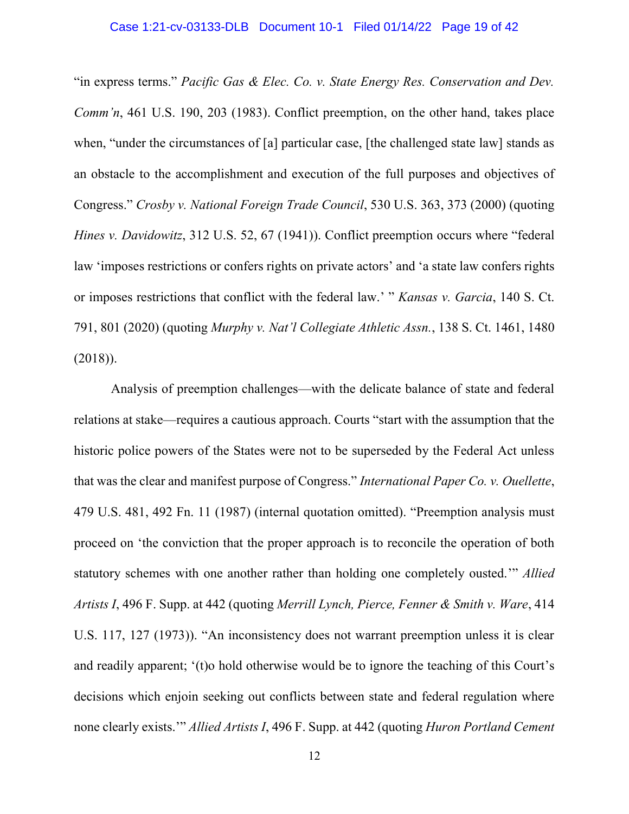#### Case 1:21-cv-03133-DLB Document 10-1 Filed 01/14/22 Page 19 of 42

"in express terms." *Pacific Gas & Elec. Co. v. State Energy Res. Conservation and Dev. Comm'n*, 461 U.S. 190, 203 (1983). Conflict preemption, on the other hand, takes place when, "under the circumstances of [a] particular case, [the challenged state law] stands as an obstacle to the accomplishment and execution of the full purposes and objectives of Congress." *Crosby v. National Foreign Trade Council*, 530 U.S. 363, 373 (2000) (quoting *Hines v. Davidowitz*, 312 U.S. 52, 67 (1941)). Conflict preemption occurs where "federal law 'imposes restrictions or confers rights on private actors' and 'a state law confers rights or imposes restrictions that conflict with the federal law.' " *Kansas v. Garcia*, 140 S. Ct. 791, 801 (2020) (quoting *Murphy v. Nat'l Collegiate Athletic Assn.*, 138 S. Ct. 1461, 1480 (2018)).

Analysis of preemption challenges—with the delicate balance of state and federal relations at stake—requires a cautious approach. Courts "start with the assumption that the historic police powers of the States were not to be superseded by the Federal Act unless that was the clear and manifest purpose of Congress." *International Paper Co. v. Ouellette*, 479 U.S. 481, 492 Fn. 11 (1987) (internal quotation omitted). "Preemption analysis must proceed on 'the conviction that the proper approach is to reconcile the operation of both statutory schemes with one another rather than holding one completely ousted.'" *Allied Artists I*, 496 F. Supp. at 442 (quoting *Merrill Lynch, Pierce, Fenner & Smith v. Ware*, 414 U.S. 117, 127 (1973)). "An inconsistency does not warrant preemption unless it is clear and readily apparent; '(t)o hold otherwise would be to ignore the teaching of this Court's decisions which enjoin seeking out conflicts between state and federal regulation where none clearly exists.'" *Allied Artists I*, 496 F. Supp. at 442 (quoting *Huron Portland Cement*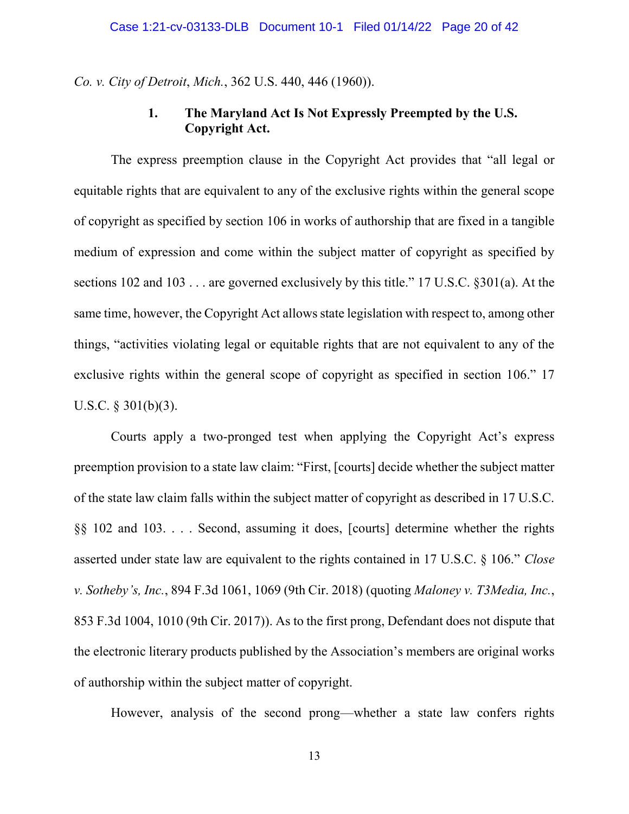*Co. v. City of Detroit*, *Mich.*, 362 U.S. 440, 446 (1960)).

## **1. The Maryland Act Is Not Expressly Preempted by the U.S. Copyright Act.**

The express preemption clause in the Copyright Act provides that "all legal or equitable rights that are equivalent to any of the exclusive rights within the general scope of copyright as specified by section 106 in works of authorship that are fixed in a tangible medium of expression and come within the subject matter of copyright as specified by sections 102 and 103 . . . are governed exclusively by this title." 17 U.S.C. §301(a). At the same time, however, the Copyright Act allows state legislation with respect to, among other things, "activities violating legal or equitable rights that are not equivalent to any of the exclusive rights within the general scope of copyright as specified in section 106." 17 U.S.C. § 301(b)(3).

Courts apply a two-pronged test when applying the Copyright Act's express preemption provision to a state law claim: "First, [courts] decide whether the subject matter of the state law claim falls within the subject matter of copyright as described in 17 U.S.C. §§ 102 and 103. . . . Second, assuming it does, [courts] determine whether the rights asserted under state law are equivalent to the rights contained in 17 U.S.C. § 106." *Close v. Sotheby's, Inc.*, 894 F.3d 1061, 1069 (9th Cir. 2018) (quoting *Maloney v. T3Media, Inc.*, 853 F.3d 1004, 1010 (9th Cir. 2017)). As to the first prong, Defendant does not dispute that the electronic literary products published by the Association's members are original works of authorship within the subject matter of copyright.

However, analysis of the second prong—whether a state law confers rights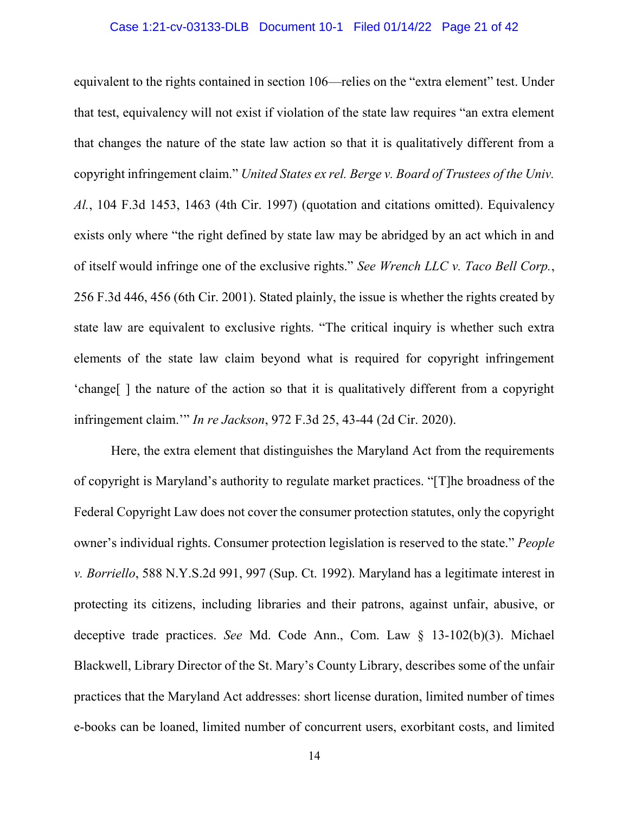#### Case 1:21-cv-03133-DLB Document 10-1 Filed 01/14/22 Page 21 of 42

equivalent to the rights contained in section 106—relies on the "extra element" test. Under that test, equivalency will not exist if violation of the state law requires "an extra element that changes the nature of the state law action so that it is qualitatively different from a copyright infringement claim." *United States ex rel. Berge v. Board of Trustees of the Univ. Al.*, 104 F.3d 1453, 1463 (4th Cir. 1997) (quotation and citations omitted). Equivalency exists only where "the right defined by state law may be abridged by an act which in and of itself would infringe one of the exclusive rights." *See Wrench LLC v. Taco Bell Corp.*, 256 F.3d 446, 456 (6th Cir. 2001). Stated plainly, the issue is whether the rights created by state law are equivalent to exclusive rights. "The critical inquiry is whether such extra elements of the state law claim beyond what is required for copyright infringement 'change[ ] the nature of the action so that it is qualitatively different from a copyright infringement claim.'" *In re Jackson*, 972 F.3d 25, 43-44 (2d Cir. 2020).

Here, the extra element that distinguishes the Maryland Act from the requirements of copyright is Maryland's authority to regulate market practices. "[T]he broadness of the Federal Copyright Law does not cover the consumer protection statutes, only the copyright owner's individual rights. Consumer protection legislation is reserved to the state." *People v. Borriello*, 588 N.Y.S.2d 991, 997 (Sup. Ct. 1992). Maryland has a legitimate interest in protecting its citizens, including libraries and their patrons, against unfair, abusive, or deceptive trade practices. *See* Md. Code Ann., Com. Law § 13-102(b)(3). Michael Blackwell, Library Director of the St. Mary's County Library, describes some of the unfair practices that the Maryland Act addresses: short license duration, limited number of times e-books can be loaned, limited number of concurrent users, exorbitant costs, and limited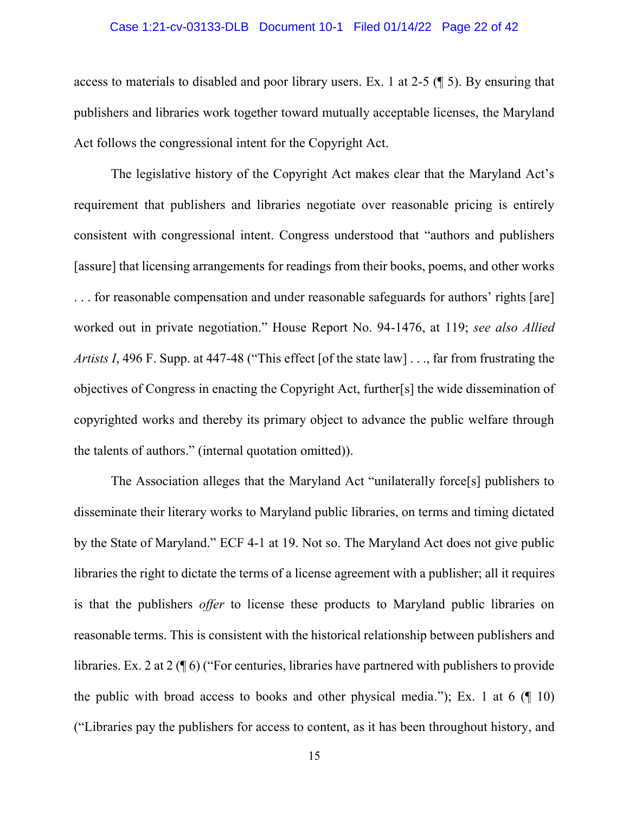#### Case 1:21-cv-03133-DLB Document 10-1 Filed 01/14/22 Page 22 of 42

access to materials to disabled and poor library users. Ex. 1 at 2-5 (¶ 5). By ensuring that publishers and libraries work together toward mutually acceptable licenses, the Maryland Act follows the congressional intent for the Copyright Act.

The legislative history of the Copyright Act makes clear that the Maryland Act's requirement that publishers and libraries negotiate over reasonable pricing is entirely consistent with congressional intent. Congress understood that "authors and publishers [assure] that licensing arrangements for readings from their books, poems, and other works . . . for reasonable compensation and under reasonable safeguards for authors' rights [are] worked out in private negotiation." House Report No. 94-1476, at 119; *see also Allied Artists I*, 496 F. Supp. at 447-48 ("This effect [of the state law] . . ., far from frustrating the objectives of Congress in enacting the Copyright Act, further[s] the wide dissemination of copyrighted works and thereby its primary object to advance the public welfare through the talents of authors." (internal quotation omitted)).

The Association alleges that the Maryland Act "unilaterally force[s] publishers to disseminate their literary works to Maryland public libraries, on terms and timing dictated by the State of Maryland." ECF 4-1 at 19. Not so. The Maryland Act does not give public libraries the right to dictate the terms of a license agreement with a publisher; all it requires is that the publishers *offer* to license these products to Maryland public libraries on reasonable terms. This is consistent with the historical relationship between publishers and libraries. Ex. 2 at 2 (¶ 6) ("For centuries, libraries have partnered with publishers to provide the public with broad access to books and other physical media."); Ex. 1 at 6  $(\sqrt{\phantom{a}}\ 10)$ ("Libraries pay the publishers for access to content, as it has been throughout history, and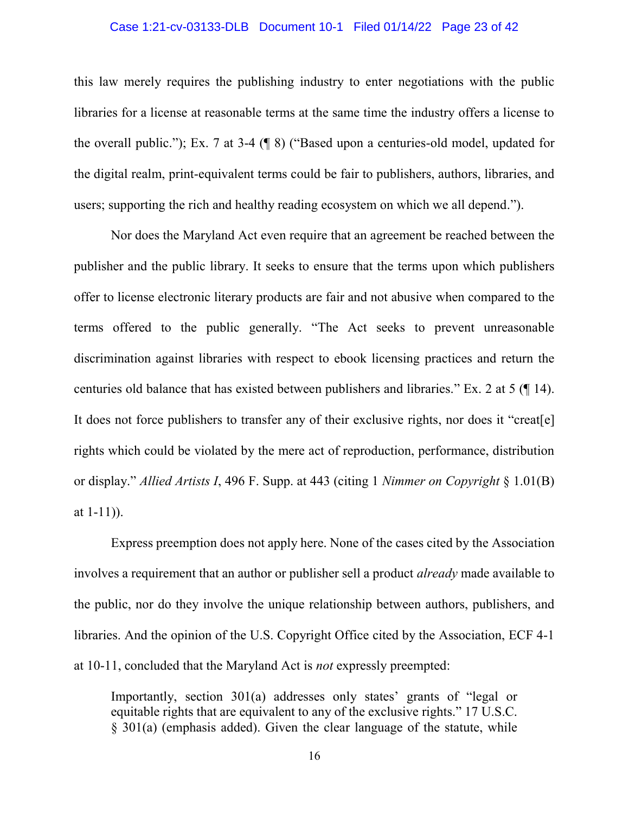#### Case 1:21-cv-03133-DLB Document 10-1 Filed 01/14/22 Page 23 of 42

this law merely requires the publishing industry to enter negotiations with the public libraries for a license at reasonable terms at the same time the industry offers a license to the overall public."); Ex. 7 at 3-4 (¶ 8) ("Based upon a centuries-old model, updated for the digital realm, print-equivalent terms could be fair to publishers, authors, libraries, and users; supporting the rich and healthy reading ecosystem on which we all depend.").

Nor does the Maryland Act even require that an agreement be reached between the publisher and the public library. It seeks to ensure that the terms upon which publishers offer to license electronic literary products are fair and not abusive when compared to the terms offered to the public generally. "The Act seeks to prevent unreasonable discrimination against libraries with respect to ebook licensing practices and return the centuries old balance that has existed between publishers and libraries." Ex. 2 at 5 (¶ 14). It does not force publishers to transfer any of their exclusive rights, nor does it "creat[e] rights which could be violated by the mere act of reproduction, performance, distribution or display." *Allied Artists I*, 496 F. Supp. at 443 (citing 1 *Nimmer on Copyright* § 1.01(B) at 1-11)).

Express preemption does not apply here. None of the cases cited by the Association involves a requirement that an author or publisher sell a product *already* made available to the public, nor do they involve the unique relationship between authors, publishers, and libraries. And the opinion of the U.S. Copyright Office cited by the Association, ECF 4-1 at 10-11, concluded that the Maryland Act is *not* expressly preempted:

Importantly, section 301(a) addresses only states' grants of "legal or equitable rights that are equivalent to any of the exclusive rights." 17 U.S.C. § 301(a) (emphasis added). Given the clear language of the statute, while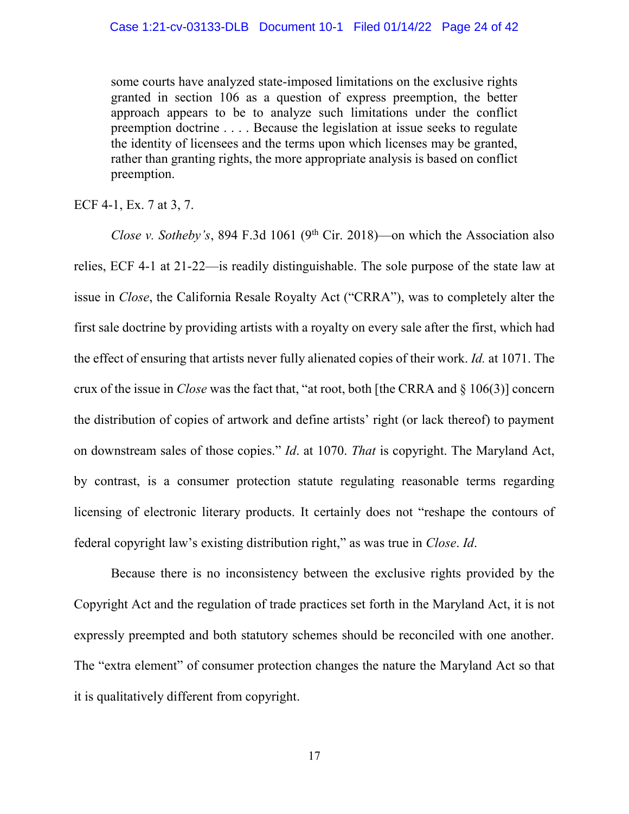some courts have analyzed state-imposed limitations on the exclusive rights granted in section 106 as a question of express preemption, the better approach appears to be to analyze such limitations under the conflict preemption doctrine . . . . Because the legislation at issue seeks to regulate the identity of licensees and the terms upon which licenses may be granted, rather than granting rights, the more appropriate analysis is based on conflict preemption.

ECF 4-1, Ex. 7 at 3, 7.

*Close v. Sotheby's*, 894 F.3d 1061 (9<sup>th</sup> Cir. 2018)—on which the Association also relies, ECF 4-1 at 21-22—is readily distinguishable. The sole purpose of the state law at issue in *Close*, the California Resale Royalty Act ("CRRA"), was to completely alter the first sale doctrine by providing artists with a royalty on every sale after the first, which had the effect of ensuring that artists never fully alienated copies of their work. *Id.* at 1071. The crux of the issue in *Close* was the fact that, "at root, both [the CRRA and § 106(3)] concern the distribution of copies of artwork and define artists' right (or lack thereof) to payment on downstream sales of those copies." *Id*. at 1070. *That* is copyright. The Maryland Act, by contrast, is a consumer protection statute regulating reasonable terms regarding licensing of electronic literary products. It certainly does not "reshape the contours of federal copyright law's existing distribution right," as was true in *Close*. *Id*.

Because there is no inconsistency between the exclusive rights provided by the Copyright Act and the regulation of trade practices set forth in the Maryland Act, it is not expressly preempted and both statutory schemes should be reconciled with one another. The "extra element" of consumer protection changes the nature the Maryland Act so that it is qualitatively different from copyright.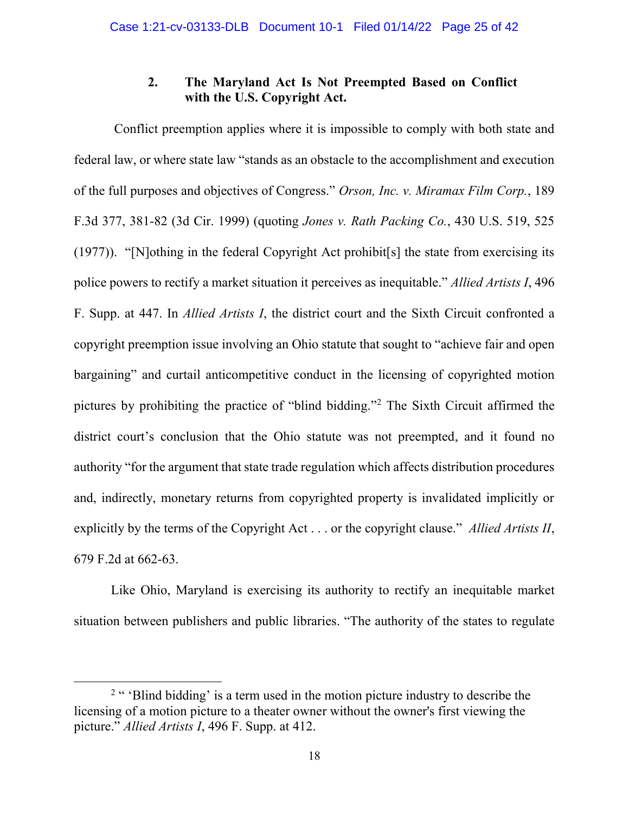## **2. The Maryland Act Is Not Preempted Based on Conflict with the U.S. Copyright Act.**

Conflict preemption applies where it is impossible to comply with both state and federal law, or where state law "stands as an obstacle to the accomplishment and execution of the full purposes and objectives of Congress." *Orson, Inc. v. Miramax Film Corp.*, 189 F.3d 377, 381-82 (3d Cir. 1999) (quoting *Jones v. Rath Packing Co.*, 430 U.S. 519, 525 (1977)). "[N]othing in the federal Copyright Act prohibit[s] the state from exercising its police powers to rectify a market situation it perceives as inequitable." *Allied Artists I*, 496 F. Supp. at 447. In *Allied Artists I*, the district court and the Sixth Circuit confronted a copyright preemption issue involving an Ohio statute that sought to "achieve fair and open bargaining" and curtail anticompetitive conduct in the licensing of copyrighted motion pictures by prohibiting the practice of "blind bidding."<sup>2</sup> The Sixth Circuit affirmed the district court's conclusion that the Ohio statute was not preempted, and it found no authority "for the argument that state trade regulation which affects distribution procedures and, indirectly, monetary returns from copyrighted property is invalidated implicitly or explicitly by the terms of the Copyright Act . . . or the copyright clause." *Allied Artists II*, 679 F.2d at 662-63.

Like Ohio, Maryland is exercising its authority to rectify an inequitable market situation between publishers and public libraries. "The authority of the states to regulate

 $\overline{a}$ 

 $2$  " 'Blind bidding' is a term used in the motion picture industry to describe the licensing of a motion picture to a theater owner without the owner's first viewing the picture." *Allied Artists I*, 496 F. Supp. at 412.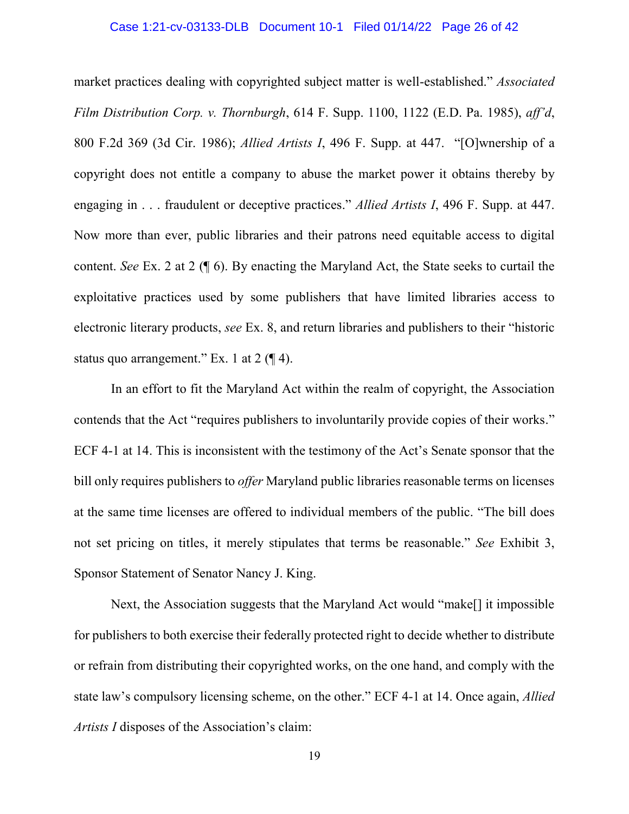#### Case 1:21-cv-03133-DLB Document 10-1 Filed 01/14/22 Page 26 of 42

market practices dealing with copyrighted subject matter is well-established." *Associated Film Distribution Corp. v. Thornburgh*, 614 F. Supp. 1100, 1122 (E.D. Pa. 1985), *aff'd*, 800 F.2d 369 (3d Cir. 1986); *Allied Artists I*, 496 F. Supp. at 447. "[O]wnership of a copyright does not entitle a company to abuse the market power it obtains thereby by engaging in . . . fraudulent or deceptive practices." *Allied Artists I*, 496 F. Supp. at 447. Now more than ever, public libraries and their patrons need equitable access to digital content. *See* Ex. 2 at 2 (¶ 6). By enacting the Maryland Act, the State seeks to curtail the exploitative practices used by some publishers that have limited libraries access to electronic literary products, *see* Ex. 8, and return libraries and publishers to their "historic status quo arrangement." Ex. 1 at  $2 \left( \frac{1}{2} 4 \right)$ .

In an effort to fit the Maryland Act within the realm of copyright, the Association contends that the Act "requires publishers to involuntarily provide copies of their works." ECF 4-1 at 14. This is inconsistent with the testimony of the Act's Senate sponsor that the bill only requires publishers to *offer* Maryland public libraries reasonable terms on licenses at the same time licenses are offered to individual members of the public. "The bill does not set pricing on titles, it merely stipulates that terms be reasonable." *See* Exhibit 3, Sponsor Statement of Senator Nancy J. King.

Next, the Association suggests that the Maryland Act would "make[] it impossible for publishers to both exercise their federally protected right to decide whether to distribute or refrain from distributing their copyrighted works, on the one hand, and comply with the state law's compulsory licensing scheme, on the other." ECF 4-1 at 14. Once again, *Allied Artists I* disposes of the Association's claim: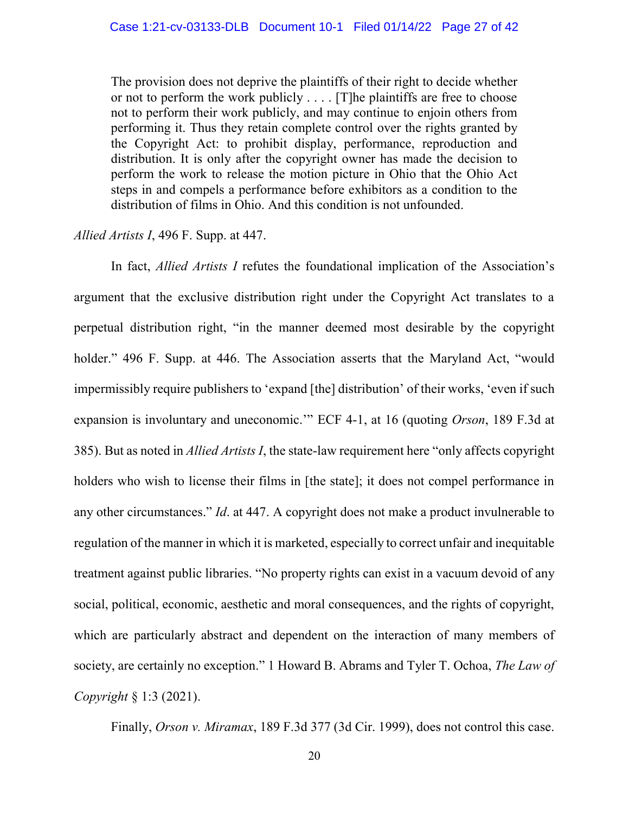The provision does not deprive the plaintiffs of their right to decide whether or not to perform the work publicly . . . . [T]he plaintiffs are free to choose not to perform their work publicly, and may continue to enjoin others from performing it. Thus they retain complete control over the rights granted by the Copyright Act: to prohibit display, performance, reproduction and distribution. It is only after the copyright owner has made the decision to perform the work to release the motion picture in Ohio that the Ohio Act steps in and compels a performance before exhibitors as a condition to the distribution of films in Ohio. And this condition is not unfounded.

#### *Allied Artists I*, 496 F. Supp. at 447.

In fact, *Allied Artists I* refutes the foundational implication of the Association's argument that the exclusive distribution right under the Copyright Act translates to a perpetual distribution right, "in the manner deemed most desirable by the copyright holder." 496 F. Supp. at 446. The Association asserts that the Maryland Act, "would impermissibly require publishers to 'expand [the] distribution' of their works, 'even if such expansion is involuntary and uneconomic.'" ECF 4-1, at 16 (quoting *Orson*, 189 F.3d at 385). But as noted in *Allied Artists I*, the state-law requirement here "only affects copyright holders who wish to license their films in [the state]; it does not compel performance in any other circumstances." *Id*. at 447. A copyright does not make a product invulnerable to regulation of the manner in which it is marketed, especially to correct unfair and inequitable treatment against public libraries. "No property rights can exist in a vacuum devoid of any social, political, economic, aesthetic and moral consequences, and the rights of copyright, which are particularly abstract and dependent on the interaction of many members of society, are certainly no exception." 1 Howard B. Abrams and Tyler T. Ochoa, *The Law of Copyright* § 1:3 (2021).

Finally, *Orson v. Miramax*, 189 F.3d 377 (3d Cir. 1999), does not control this case.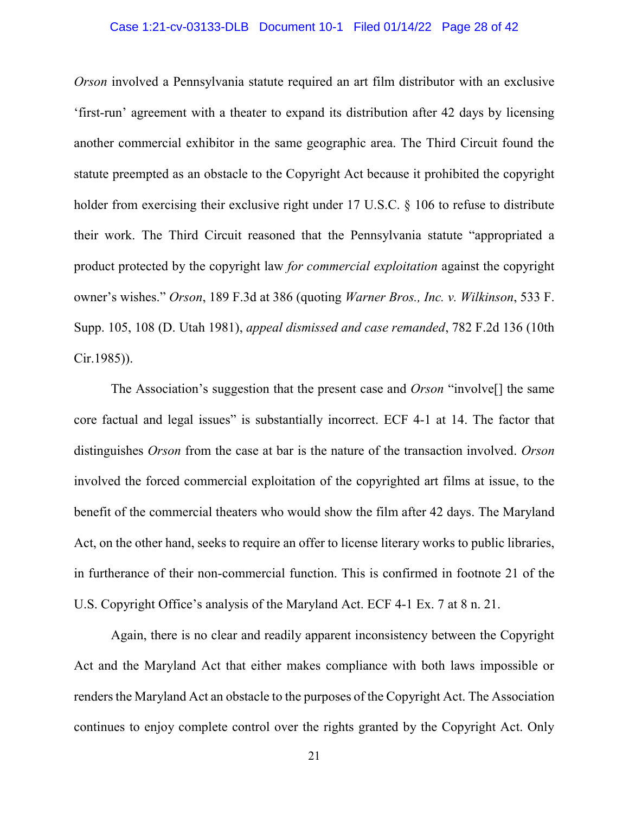#### Case 1:21-cv-03133-DLB Document 10-1 Filed 01/14/22 Page 28 of 42

*Orson* involved a Pennsylvania statute required an art film distributor with an exclusive 'first-run' agreement with a theater to expand its distribution after 42 days by licensing another commercial exhibitor in the same geographic area. The Third Circuit found the statute preempted as an obstacle to the Copyright Act because it prohibited the copyright holder from exercising their exclusive right under 17 U.S.C. § 106 to refuse to distribute their work. The Third Circuit reasoned that the Pennsylvania statute "appropriated a product protected by the copyright law *for commercial exploitation* against the copyright owner's wishes." *Orson*, 189 F.3d at 386 (quoting *Warner Bros., Inc. v. Wilkinson*, 533 F. Supp. 105, 108 (D. Utah 1981), *appeal dismissed and case remanded*, 782 F.2d 136 (10th Cir.1985)).

The Association's suggestion that the present case and *Orson* "involve[] the same core factual and legal issues" is substantially incorrect. ECF 4-1 at 14. The factor that distinguishes *Orson* from the case at bar is the nature of the transaction involved. *Orson* involved the forced commercial exploitation of the copyrighted art films at issue, to the benefit of the commercial theaters who would show the film after 42 days. The Maryland Act, on the other hand, seeks to require an offer to license literary works to public libraries, in furtherance of their non-commercial function. This is confirmed in footnote 21 of the U.S. Copyright Office's analysis of the Maryland Act. ECF 4-1 Ex. 7 at 8 n. 21.

Again, there is no clear and readily apparent inconsistency between the Copyright Act and the Maryland Act that either makes compliance with both laws impossible or renders the Maryland Act an obstacle to the purposes of the Copyright Act. The Association continues to enjoy complete control over the rights granted by the Copyright Act. Only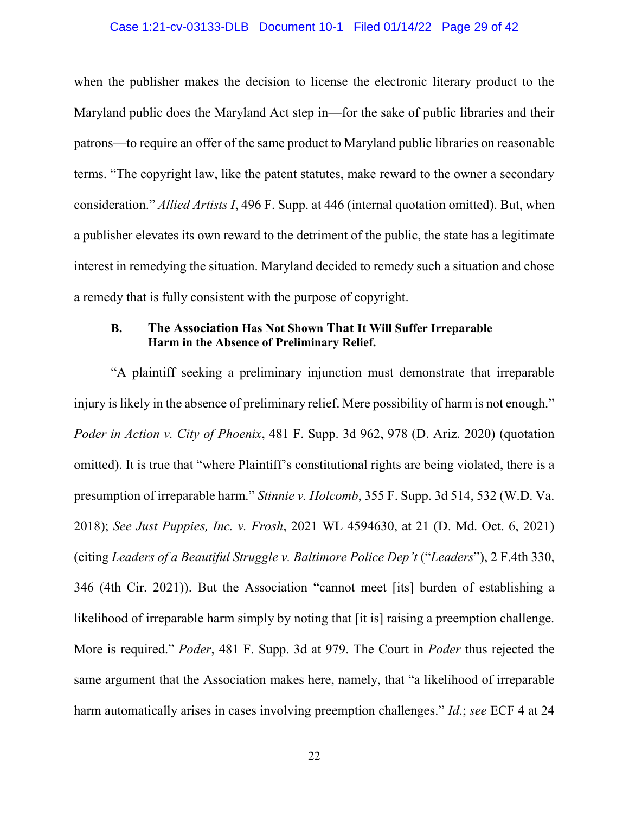### Case 1:21-cv-03133-DLB Document 10-1 Filed 01/14/22 Page 29 of 42

when the publisher makes the decision to license the electronic literary product to the Maryland public does the Maryland Act step in—for the sake of public libraries and their patrons—to require an offer of the same product to Maryland public libraries on reasonable terms. "The copyright law, like the patent statutes, make reward to the owner a secondary consideration." *Allied Artists I*, 496 F. Supp. at 446 (internal quotation omitted). But, when a publisher elevates its own reward to the detriment of the public, the state has a legitimate interest in remedying the situation. Maryland decided to remedy such a situation and chose a remedy that is fully consistent with the purpose of copyright.

### **B. The Association Has Not Shown That It Will Suffer Irreparable Harm in the Absence of Preliminary Relief.**

"A plaintiff seeking a preliminary injunction must demonstrate that irreparable injury is likely in the absence of preliminary relief. Mere possibility of harm is not enough." *Poder in Action v. City of Phoenix*, 481 F. Supp. 3d 962, 978 (D. Ariz. 2020) (quotation omitted). It is true that "where Plaintiff's constitutional rights are being violated, there is a presumption of irreparable harm." *Stinnie v. Holcomb*, 355 F. Supp. 3d 514, 532 (W.D. Va. 2018); *See Just Puppies, Inc. v. Frosh*, 2021 WL 4594630, at 21 (D. Md. Oct. 6, 2021) (citing *Leaders of a Beautiful Struggle v. Baltimore Police Dep't* ("*Leaders*"), 2 F.4th 330, 346 (4th Cir. 2021)). But the Association "cannot meet [its] burden of establishing a likelihood of irreparable harm simply by noting that [it is] raising a preemption challenge. More is required." *Poder*, 481 F. Supp. 3d at 979. The Court in *Poder* thus rejected the same argument that the Association makes here, namely, that "a likelihood of irreparable harm automatically arises in cases involving preemption challenges." *Id*.; *see* ECF 4 at 24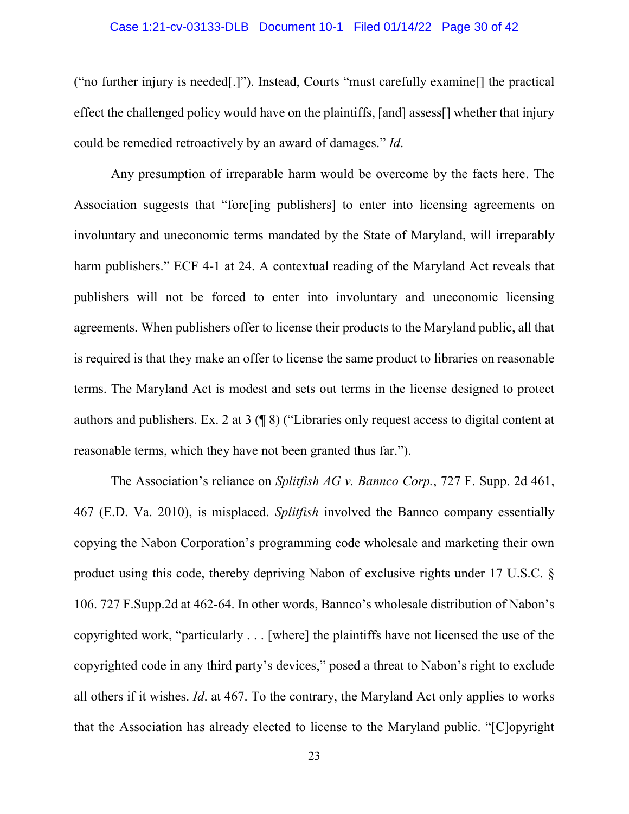#### Case 1:21-cv-03133-DLB Document 10-1 Filed 01/14/22 Page 30 of 42

("no further injury is needed[.]"). Instead, Courts "must carefully examine[] the practical effect the challenged policy would have on the plaintiffs, [and] assess[] whether that injury could be remedied retroactively by an award of damages." *Id*.

Any presumption of irreparable harm would be overcome by the facts here. The Association suggests that "forc[ing publishers] to enter into licensing agreements on involuntary and uneconomic terms mandated by the State of Maryland, will irreparably harm publishers." ECF 4-1 at 24. A contextual reading of the Maryland Act reveals that publishers will not be forced to enter into involuntary and uneconomic licensing agreements. When publishers offer to license their products to the Maryland public, all that is required is that they make an offer to license the same product to libraries on reasonable terms. The Maryland Act is modest and sets out terms in the license designed to protect authors and publishers. Ex. 2 at 3 (¶ 8) ("Libraries only request access to digital content at reasonable terms, which they have not been granted thus far.").

The Association's reliance on *Splitfish AG v. Bannco Corp.*, 727 F. Supp. 2d 461, 467 (E.D. Va. 2010), is misplaced. *Splitfish* involved the Bannco company essentially copying the Nabon Corporation's programming code wholesale and marketing their own product using this code, thereby depriving Nabon of exclusive rights under 17 U.S.C. § 106. 727 F.Supp.2d at 462-64. In other words, Bannco's wholesale distribution of Nabon's copyrighted work, "particularly . . . [where] the plaintiffs have not licensed the use of the copyrighted code in any third party's devices," posed a threat to Nabon's right to exclude all others if it wishes. *Id*. at 467. To the contrary, the Maryland Act only applies to works that the Association has already elected to license to the Maryland public. "[C]opyright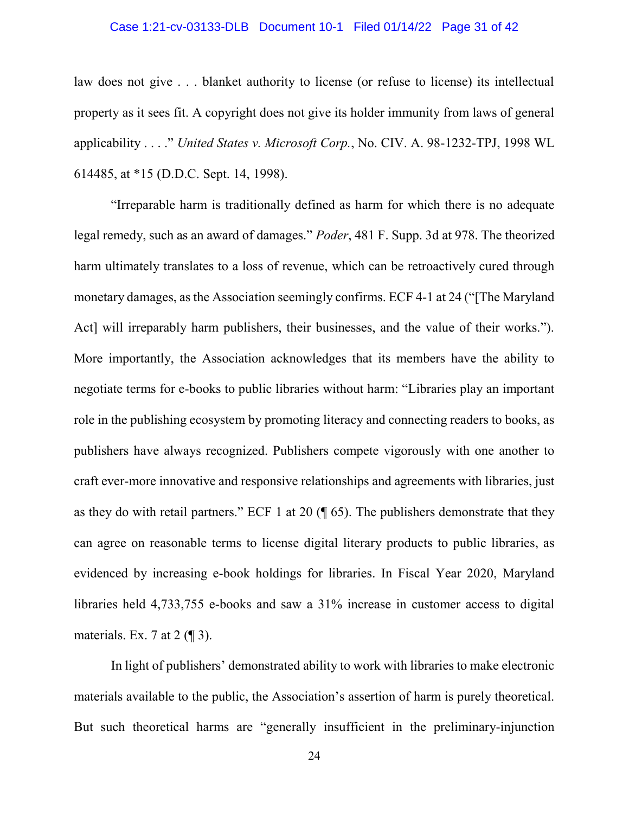#### Case 1:21-cv-03133-DLB Document 10-1 Filed 01/14/22 Page 31 of 42

law does not give . . . blanket authority to license (or refuse to license) its intellectual property as it sees fit. A copyright does not give its holder immunity from laws of general applicability . . . ." *United States v. Microsoft Corp.*, No. CIV. A. 98-1232-TPJ, 1998 WL 614485, at \*15 (D.D.C. Sept. 14, 1998).

"Irreparable harm is traditionally defined as harm for which there is no adequate legal remedy, such as an award of damages." *Poder*, 481 F. Supp. 3d at 978. The theorized harm ultimately translates to a loss of revenue, which can be retroactively cured through monetary damages, as the Association seemingly confirms. ECF 4-1 at 24 ("[The Maryland Act] will irreparably harm publishers, their businesses, and the value of their works."). More importantly, the Association acknowledges that its members have the ability to negotiate terms for e-books to public libraries without harm: "Libraries play an important role in the publishing ecosystem by promoting literacy and connecting readers to books, as publishers have always recognized. Publishers compete vigorously with one another to craft ever-more innovative and responsive relationships and agreements with libraries, just as they do with retail partners." ECF 1 at 20 (¶ 65). The publishers demonstrate that they can agree on reasonable terms to license digital literary products to public libraries, as evidenced by increasing e-book holdings for libraries. In Fiscal Year 2020, Maryland libraries held 4,733,755 e-books and saw a 31% increase in customer access to digital materials. Ex. 7 at  $2 \times 3$ .

In light of publishers' demonstrated ability to work with libraries to make electronic materials available to the public, the Association's assertion of harm is purely theoretical. But such theoretical harms are "generally insufficient in the preliminary-injunction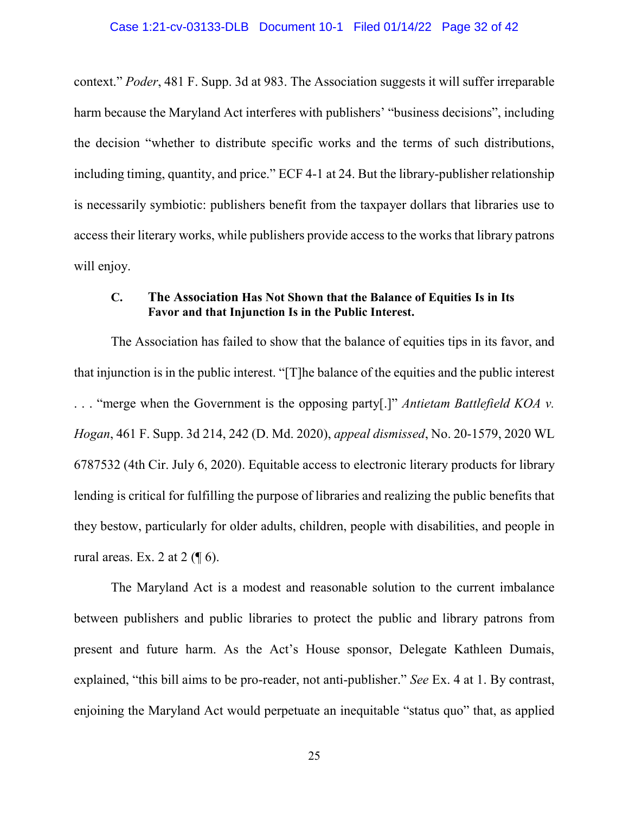context." *Poder*, 481 F. Supp. 3d at 983. The Association suggests it will suffer irreparable harm because the Maryland Act interferes with publishers' "business decisions", including the decision "whether to distribute specific works and the terms of such distributions, including timing, quantity, and price." ECF 4-1 at 24. But the library-publisher relationship is necessarily symbiotic: publishers benefit from the taxpayer dollars that libraries use to access their literary works, while publishers provide access to the works that library patrons will enjoy.

### **C. The Association Has Not Shown that the Balance of Equities Is in Its Favor and that Injunction Is in the Public Interest.**

The Association has failed to show that the balance of equities tips in its favor, and that injunction is in the public interest. "[T]he balance of the equities and the public interest . . . "merge when the Government is the opposing party[.]" *Antietam Battlefield KOA v. Hogan*, 461 F. Supp. 3d 214, 242 (D. Md. 2020), *appeal dismissed*, No. 20-1579, 2020 WL 6787532 (4th Cir. July 6, 2020). Equitable access to electronic literary products for library lending is critical for fulfilling the purpose of libraries and realizing the public benefits that they bestow, particularly for older adults, children, people with disabilities, and people in rural areas. Ex. 2 at  $2 \left( \P 6 \right)$ .

The Maryland Act is a modest and reasonable solution to the current imbalance between publishers and public libraries to protect the public and library patrons from present and future harm. As the Act's House sponsor, Delegate Kathleen Dumais, explained, "this bill aims to be pro-reader, not anti-publisher." *See* Ex. 4 at 1. By contrast, enjoining the Maryland Act would perpetuate an inequitable "status quo" that, as applied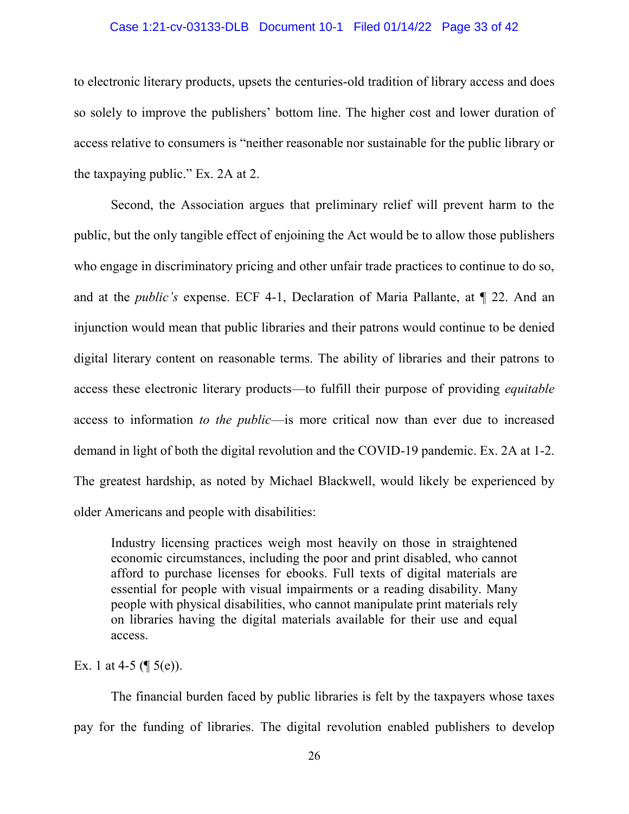#### Case 1:21-cv-03133-DLB Document 10-1 Filed 01/14/22 Page 33 of 42

to electronic literary products, upsets the centuries-old tradition of library access and does so solely to improve the publishers' bottom line. The higher cost and lower duration of access relative to consumers is "neither reasonable nor sustainable for the public library or the taxpaying public." Ex. 2A at 2.

Second, the Association argues that preliminary relief will prevent harm to the public, but the only tangible effect of enjoining the Act would be to allow those publishers who engage in discriminatory pricing and other unfair trade practices to continue to do so, and at the *public's* expense. ECF 4-1, Declaration of Maria Pallante, at ¶ 22. And an injunction would mean that public libraries and their patrons would continue to be denied digital literary content on reasonable terms. The ability of libraries and their patrons to access these electronic literary products—to fulfill their purpose of providing *equitable* access to information *to the public*—is more critical now than ever due to increased demand in light of both the digital revolution and the COVID-19 pandemic. Ex. 2A at 1-2. The greatest hardship, as noted by Michael Blackwell, would likely be experienced by older Americans and people with disabilities:

Industry licensing practices weigh most heavily on those in straightened economic circumstances, including the poor and print disabled, who cannot afford to purchase licenses for ebooks. Full texts of digital materials are essential for people with visual impairments or a reading disability. Many people with physical disabilities, who cannot manipulate print materials rely on libraries having the digital materials available for their use and equal access.

Ex. 1 at 4-5  $(\P 5(e))$ .

The financial burden faced by public libraries is felt by the taxpayers whose taxes pay for the funding of libraries. The digital revolution enabled publishers to develop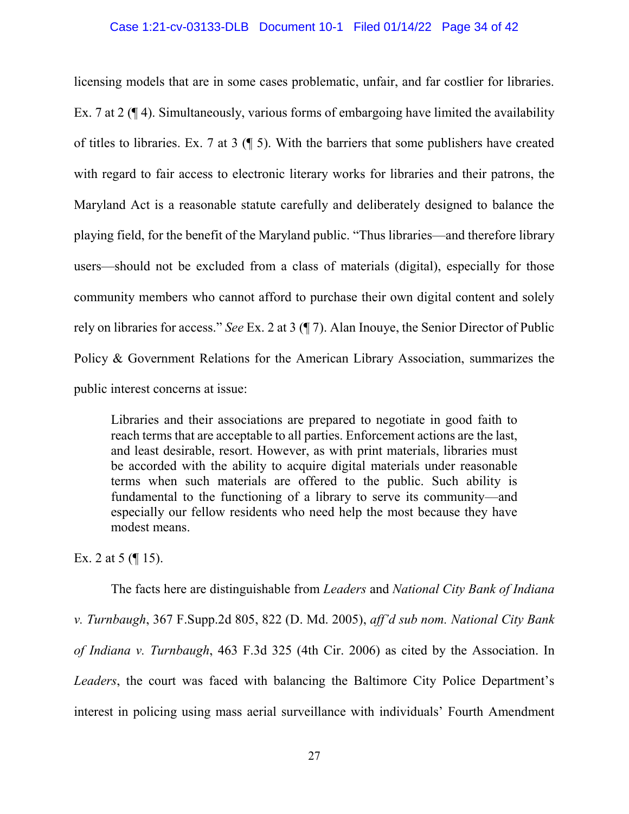#### Case 1:21-cv-03133-DLB Document 10-1 Filed 01/14/22 Page 34 of 42

licensing models that are in some cases problematic, unfair, and far costlier for libraries. Ex. 7 at 2 (¶ 4). Simultaneously, various forms of embargoing have limited the availability of titles to libraries. Ex. 7 at 3 (¶ 5). With the barriers that some publishers have created with regard to fair access to electronic literary works for libraries and their patrons, the Maryland Act is a reasonable statute carefully and deliberately designed to balance the playing field, for the benefit of the Maryland public. "Thus libraries—and therefore library users—should not be excluded from a class of materials (digital), especially for those community members who cannot afford to purchase their own digital content and solely rely on libraries for access." *See* Ex. 2 at 3 (¶ 7). Alan Inouye, the Senior Director of Public Policy & Government Relations for the American Library Association, summarizes the public interest concerns at issue:

Libraries and their associations are prepared to negotiate in good faith to reach terms that are acceptable to all parties. Enforcement actions are the last, and least desirable, resort. However, as with print materials, libraries must be accorded with the ability to acquire digital materials under reasonable terms when such materials are offered to the public. Such ability is fundamental to the functioning of a library to serve its community—and especially our fellow residents who need help the most because they have modest means.

Ex. 2 at 5  $($ | 15).

The facts here are distinguishable from *Leaders* and *National City Bank of Indiana v. Turnbaugh*, 367 F.Supp.2d 805, 822 (D. Md. 2005), *aff'd sub nom. National City Bank of Indiana v. Turnbaugh*, 463 F.3d 325 (4th Cir. 2006) as cited by the Association. In *Leaders*, the court was faced with balancing the Baltimore City Police Department's interest in policing using mass aerial surveillance with individuals' Fourth Amendment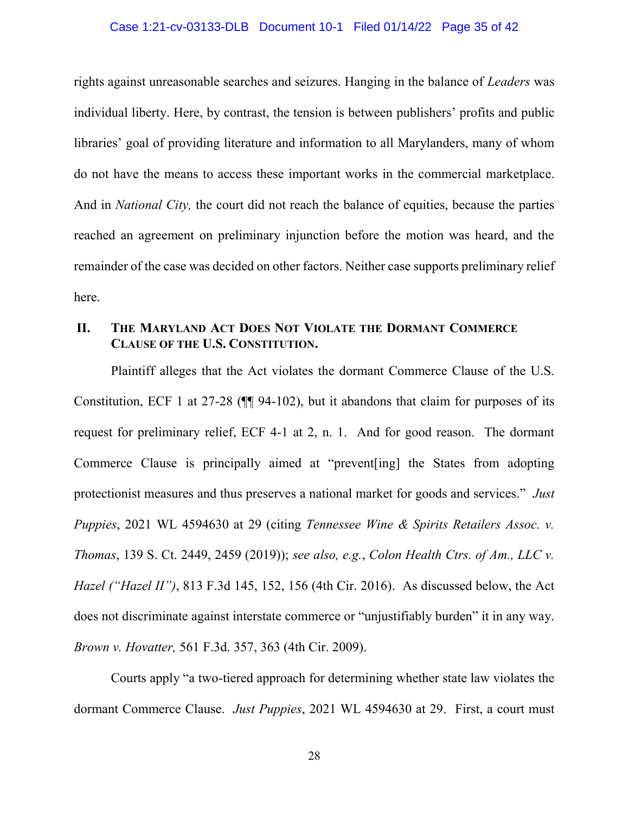#### Case 1:21-cv-03133-DLB Document 10-1 Filed 01/14/22 Page 35 of 42

rights against unreasonable searches and seizures. Hanging in the balance of *Leaders* was individual liberty. Here, by contrast, the tension is between publishers' profits and public libraries' goal of providing literature and information to all Marylanders, many of whom do not have the means to access these important works in the commercial marketplace. And in *National City,* the court did not reach the balance of equities, because the parties reached an agreement on preliminary injunction before the motion was heard, and the remainder of the case was decided on other factors. Neither case supports preliminary relief here.

## **II. THE MARYLAND ACT DOES NOT VIOLATE THE DORMANT COMMERCE CLAUSE OF THE U.S. CONSTITUTION.**

Plaintiff alleges that the Act violates the dormant Commerce Clause of the U.S. Constitution, ECF 1 at 27-28 (¶¶ 94-102), but it abandons that claim for purposes of its request for preliminary relief, ECF 4-1 at 2, n. 1. And for good reason. The dormant Commerce Clause is principally aimed at "prevent[ing] the States from adopting protectionist measures and thus preserves a national market for goods and services." *Just Puppies*, 2021 WL 4594630 at 29 (citing *Tennessee Wine & Spirits Retailers Assoc. v. Thomas*, 139 S. Ct. 2449, 2459 (2019)); *see also, e.g.*, *Colon Health Ctrs. of Am., LLC v. Hazel ("Hazel II")*, 813 F.3d 145, 152, 156 (4th Cir. 2016). As discussed below, the Act does not discriminate against interstate commerce or "unjustifiably burden" it in any way. *Brown v. Hovatter,* 561 F.3d. 357, 363 (4th Cir. 2009).

Courts apply "a two-tiered approach for determining whether state law violates the dormant Commerce Clause. *Just Puppies*, 2021 WL 4594630 at 29. First, a court must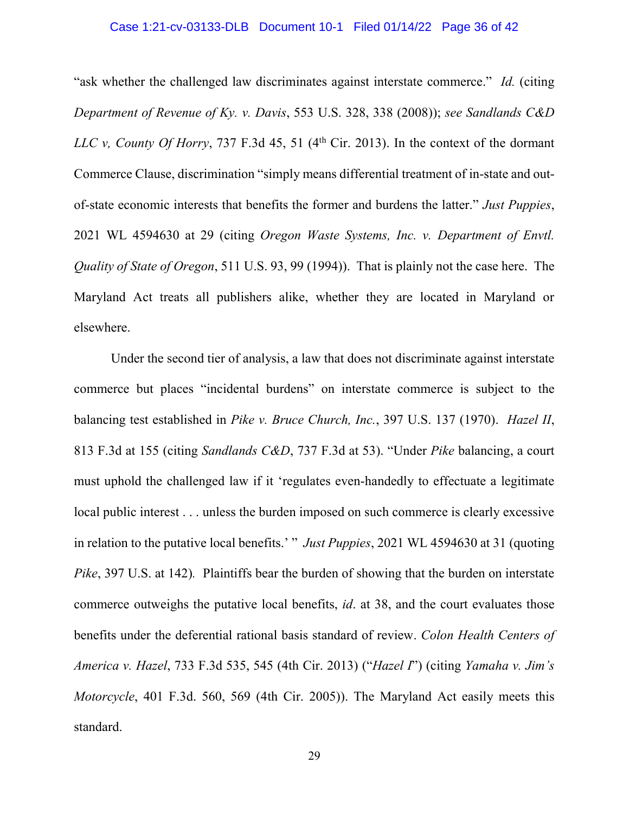#### Case 1:21-cv-03133-DLB Document 10-1 Filed 01/14/22 Page 36 of 42

"ask whether the challenged law discriminates against interstate commerce." *Id.* (citing *Department of Revenue of Ky. v. Davis*, 553 U.S. 328, 338 (2008)); *see Sandlands C&D LLC v, County Of Horry*, 737 F.3d 45, 51 (4th Cir. 2013). In the context of the dormant Commerce Clause, discrimination "simply means differential treatment of in-state and outof-state economic interests that benefits the former and burdens the latter." *Just Puppies*, 2021 WL 4594630 at 29 (citing *Oregon Waste Systems, Inc. v. Department of Envtl. Quality of State of Oregon*, 511 U.S. 93, 99 (1994)). That is plainly not the case here. The Maryland Act treats all publishers alike, whether they are located in Maryland or elsewhere.

Under the second tier of analysis, a law that does not discriminate against interstate commerce but places "incidental burdens" on interstate commerce is subject to the balancing test established in *Pike v. Bruce Church, Inc.*, 397 U.S. 137 (1970). *Hazel II*, 813 F.3d at 155 (citing *Sandlands C&D*, 737 F.3d at 53). "Under *Pike* balancing, a court must uphold the challenged law if it 'regulates even-handedly to effectuate a legitimate local public interest . . . unless the burden imposed on such commerce is clearly excessive in relation to the putative local benefits.' " *Just Puppies*, 2021 WL 4594630 at 31 (quoting *Pike*, 397 U.S. at 142)*.* Plaintiffs bear the burden of showing that the burden on interstate commerce outweighs the putative local benefits, *id*. at 38, and the court evaluates those benefits under the deferential rational basis standard of review. *Colon Health Centers of America v. Hazel*, 733 F.3d 535, 545 (4th Cir. 2013) ("*Hazel I*") (citing *Yamaha v. Jim's Motorcycle*, 401 F.3d. 560, 569 (4th Cir. 2005)). The Maryland Act easily meets this standard.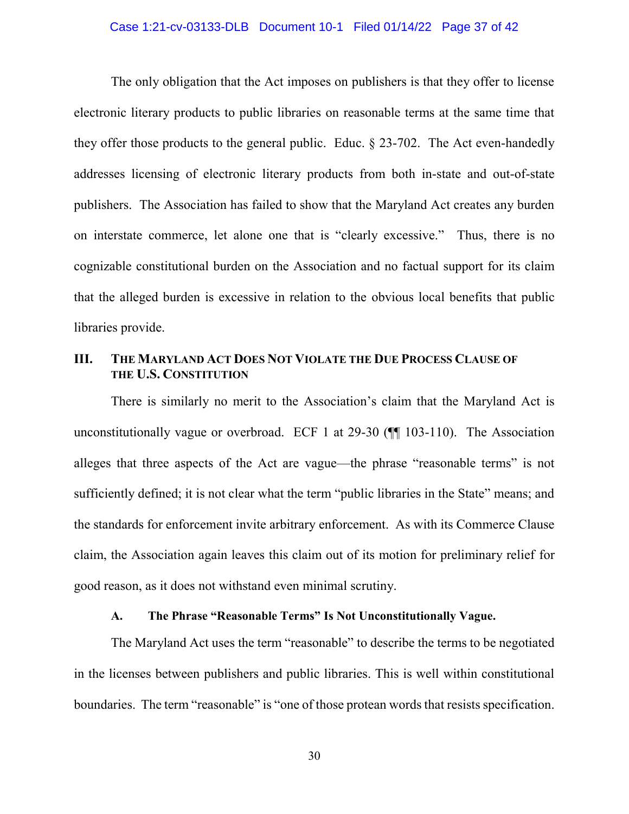#### Case 1:21-cv-03133-DLB Document 10-1 Filed 01/14/22 Page 37 of 42

The only obligation that the Act imposes on publishers is that they offer to license electronic literary products to public libraries on reasonable terms at the same time that they offer those products to the general public. Educ. § 23-702. The Act even-handedly addresses licensing of electronic literary products from both in-state and out-of-state publishers. The Association has failed to show that the Maryland Act creates any burden on interstate commerce, let alone one that is "clearly excessive." Thus, there is no cognizable constitutional burden on the Association and no factual support for its claim that the alleged burden is excessive in relation to the obvious local benefits that public libraries provide.

## **III. THE MARYLAND ACT DOES NOT VIOLATE THE DUE PROCESS CLAUSE OF THE U.S. CONSTITUTION**

There is similarly no merit to the Association's claim that the Maryland Act is unconstitutionally vague or overbroad. ECF 1 at 29-30 (¶¶ 103-110). The Association alleges that three aspects of the Act are vague—the phrase "reasonable terms" is not sufficiently defined; it is not clear what the term "public libraries in the State" means; and the standards for enforcement invite arbitrary enforcement. As with its Commerce Clause claim, the Association again leaves this claim out of its motion for preliminary relief for good reason, as it does not withstand even minimal scrutiny.

### **A. The Phrase "Reasonable Terms" Is Not Unconstitutionally Vague.**

The Maryland Act uses the term "reasonable" to describe the terms to be negotiated in the licenses between publishers and public libraries. This is well within constitutional boundaries. The term "reasonable" is "one of those protean words that resists specification.

30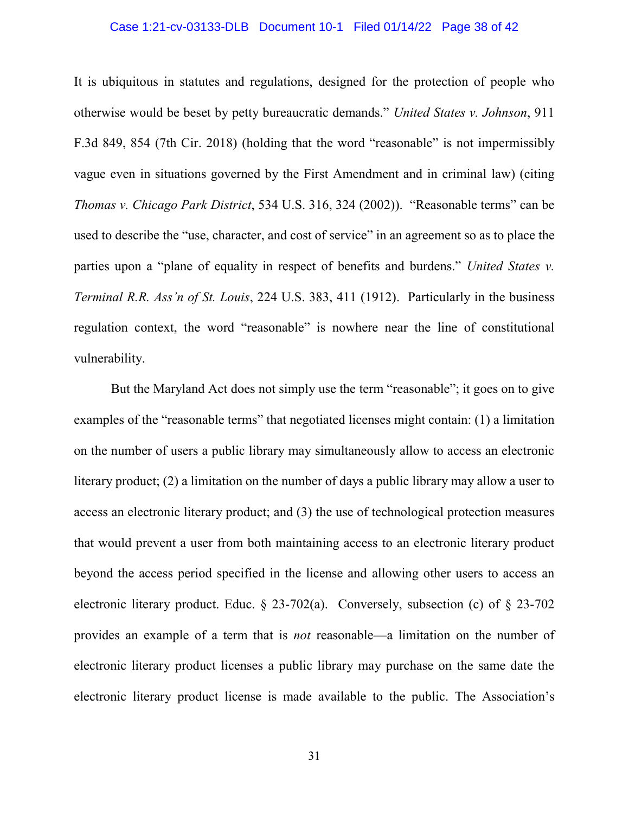#### Case 1:21-cv-03133-DLB Document 10-1 Filed 01/14/22 Page 38 of 42

It is ubiquitous in statutes and regulations, designed for the protection of people who otherwise would be beset by petty bureaucratic demands." *United States v. Johnson*, 911 F.3d 849, 854 (7th Cir. 2018) (holding that the word "reasonable" is not impermissibly vague even in situations governed by the First Amendment and in criminal law) (citing *Thomas v. Chicago Park District*, 534 U.S. 316, 324 (2002)). "Reasonable terms" can be used to describe the "use, character, and cost of service" in an agreement so as to place the parties upon a "plane of equality in respect of benefits and burdens." *United States v. Terminal R.R. Ass'n of St. Louis*, 224 U.S. 383, 411 (1912). Particularly in the business regulation context, the word "reasonable" is nowhere near the line of constitutional vulnerability.

But the Maryland Act does not simply use the term "reasonable"; it goes on to give examples of the "reasonable terms" that negotiated licenses might contain: (1) a limitation on the number of users a public library may simultaneously allow to access an electronic literary product; (2) a limitation on the number of days a public library may allow a user to access an electronic literary product; and (3) the use of technological protection measures that would prevent a user from both maintaining access to an electronic literary product beyond the access period specified in the license and allowing other users to access an electronic literary product. Educ. § 23-702(a). Conversely, subsection (c) of § 23-702 provides an example of a term that is *not* reasonable—a limitation on the number of electronic literary product licenses a public library may purchase on the same date the electronic literary product license is made available to the public. The Association's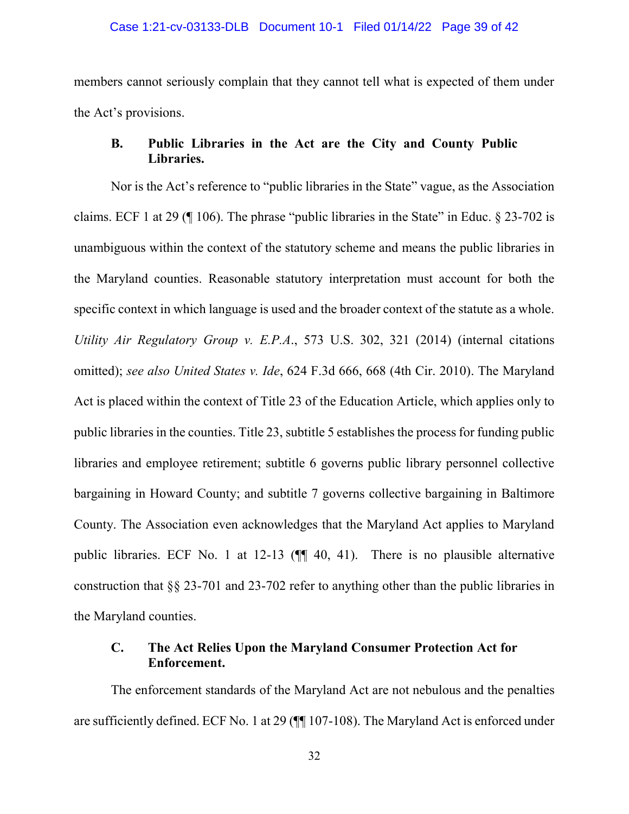members cannot seriously complain that they cannot tell what is expected of them under the Act's provisions.

## **B. Public Libraries in the Act are the City and County Public Libraries.**

Nor is the Act's reference to "public libraries in the State" vague, as the Association claims. ECF 1 at 29 ( $\parallel$  106). The phrase "public libraries in the State" in Educ. § 23-702 is unambiguous within the context of the statutory scheme and means the public libraries in the Maryland counties. Reasonable statutory interpretation must account for both the specific context in which language is used and the broader context of the statute as a whole. *Utility Air Regulatory Group v. E.P.A*., 573 U.S. 302, 321 (2014) (internal citations omitted); *see also United States v. Ide*, 624 F.3d 666, 668 (4th Cir. 2010). The Maryland Act is placed within the context of Title 23 of the Education Article, which applies only to public libraries in the counties. Title 23, subtitle 5 establishes the process for funding public libraries and employee retirement; subtitle 6 governs public library personnel collective bargaining in Howard County; and subtitle 7 governs collective bargaining in Baltimore County. The Association even acknowledges that the Maryland Act applies to Maryland public libraries. ECF No. 1 at 12-13 (¶¶ 40, 41). There is no plausible alternative construction that §§ 23-701 and 23-702 refer to anything other than the public libraries in the Maryland counties.

## **C. The Act Relies Upon the Maryland Consumer Protection Act for Enforcement.**

The enforcement standards of the Maryland Act are not nebulous and the penalties are sufficiently defined. ECF No. 1 at 29 (¶¶ 107-108). The Maryland Act is enforced under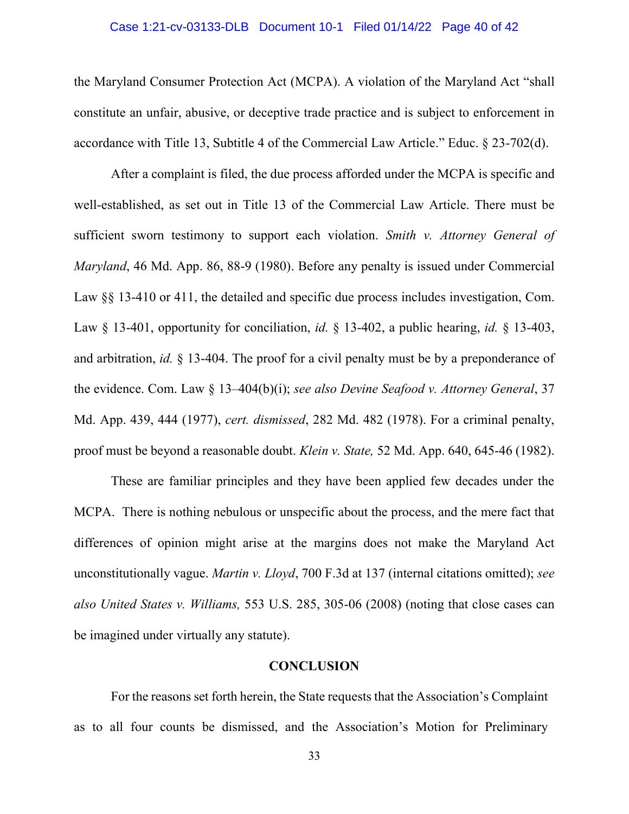#### Case 1:21-cv-03133-DLB Document 10-1 Filed 01/14/22 Page 40 of 42

the Maryland Consumer Protection Act (MCPA). A violation of the Maryland Act "shall constitute an unfair, abusive, or deceptive trade practice and is subject to enforcement in accordance with Title 13, Subtitle 4 of the Commercial Law Article." Educ. § 23-702(d).

After a complaint is filed, the due process afforded under the MCPA is specific and well-established, as set out in Title 13 of the Commercial Law Article. There must be sufficient sworn testimony to support each violation. *Smith v. Attorney General of Maryland*, 46 Md. App. 86, 88-9 (1980). Before any penalty is issued under Commercial Law  $\S$ § 13-410 or 411, the detailed and specific due process includes investigation, Com. Law § 13-401, opportunity for conciliation, *id.* § 13-402, a public hearing, *id.* § 13-403, and arbitration, *id.* § 13-404. The proof for a civil penalty must be by a preponderance of the evidence. Com. Law § 13–404(b)(i); *see also Devine Seafood v. Attorney General*, 37 Md. App. 439, 444 (1977), *cert. dismissed*, 282 Md. 482 (1978). For a criminal penalty, proof must be beyond a reasonable doubt. *Klein v. State,* 52 Md. App. 640, 645-46 (1982).

These are familiar principles and they have been applied few decades under the MCPA. There is nothing nebulous or unspecific about the process, and the mere fact that differences of opinion might arise at the margins does not make the Maryland Act unconstitutionally vague. *Martin v. Lloyd*, 700 F.3d at 137 (internal citations omitted); *see also United States v. Williams,* 553 U.S. 285, 305-06 (2008) (noting that close cases can be imagined under virtually any statute).

#### **CONCLUSION**

For the reasons set forth herein, the State requests that the Association's Complaint as to all four counts be dismissed, and the Association's Motion for Preliminary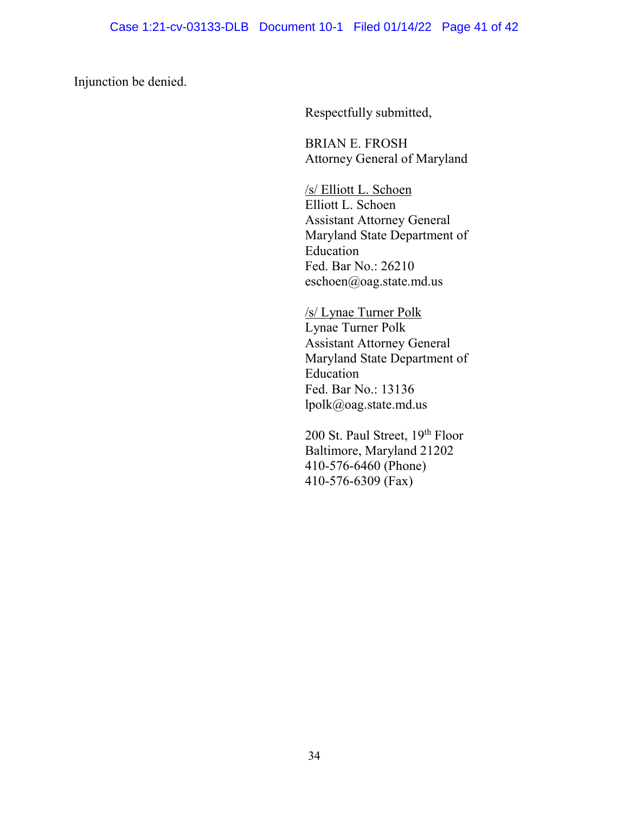Injunction be denied.

Respectfully submitted,

BRIAN E. FROSH Attorney General of Maryland

/s/ Elliott L. Schoen Elliott L. Schoen Assistant Attorney General Maryland State Department of Education Fed. Bar No.: 26210 eschoen@oag.state.md.us

/s/ Lynae Turner Polk Lynae Turner Polk Assistant Attorney General Maryland State Department of Education Fed. Bar No.: 13136 lpolk@oag.state.md.us

200 St. Paul Street, 19th Floor Baltimore, Maryland 21202 410-576-6460 (Phone) 410-576-6309 (Fax)